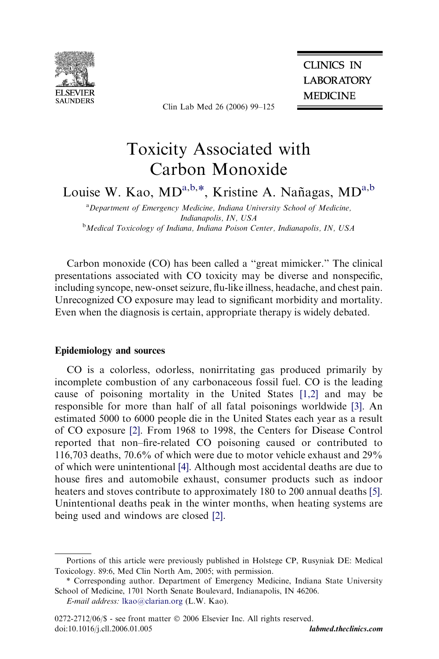

Clin Lab Med 26 (2006) 99–125

**CLINICS IN LABORATORY MEDICINE** 

# Toxicity Associated with Carbon Monoxide

Louise W. Kao, MD<sup>a,b,\*</sup>, Kristine A. Nañagas, MD<sup>a,b</sup>

<sup>a</sup> Department of Emergency Medicine, Indiana University School of Medicine, Indianapolis, IN, USA <sup>b</sup>Medical Toxicology of Indiana, Indiana Poison Center, Indianapolis, IN, USA

Carbon monoxide (CO) has been called a ''great mimicker.'' The clinical presentations associated with CO toxicity may be diverse and nonspecific, including syncope, new-onset seizure, flu-like illness, headache, and chest pain. Unrecognized CO exposure may lead to significant morbidity and mortality. Even when the diagnosis is certain, appropriate therapy is widely debated.

# Epidemiology and sources

CO is a colorless, odorless, nonirritating gas produced primarily by incomplete combustion of any carbonaceous fossil fuel. CO is the leading cause of poisoning mortality in the United States [\[1,2\]](#page-16-0) and may be responsible for more than half of all fatal poisonings worldwide [\[3\]](#page-17-0). An estimated 5000 to 6000 people die in the United States each year as a result of CO exposure [\[2\].](#page-17-0) From 1968 to 1998, the Centers for Disease Control reported that non–fire-related CO poisoning caused or contributed to 116,703 deaths, 70.6% of which were due to motor vehicle exhaust and 29% of which were unintentional [\[4\].](#page-17-0) Although most accidental deaths are due to house fires and automobile exhaust, consumer products such as indoor heaters and stoves contribute to approximately 180 to 200 annual deaths [\[5\].](#page-17-0) Unintentional deaths peak in the winter months, when heating systems are being used and windows are closed [\[2\]](#page-17-0).

E-mail address: [lkao@clarian.org](mailto:lkao@clarian.org) (L.W. Kao).

Portions of this article were previously published in Holstege CP, Rusyniak DE: Medical Toxicology. 89:6, Med Clin North Am, 2005; with permission.

<sup>\*</sup> Corresponding author. Department of Emergency Medicine, Indiana State University School of Medicine, 1701 North Senate Boulevard, Indianapolis, IN 46206.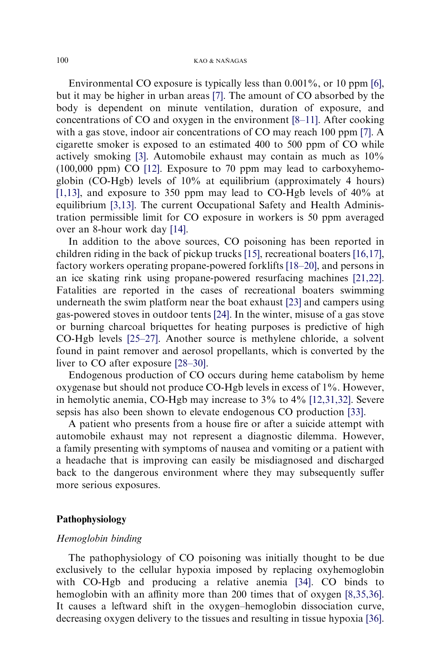Environmental CO exposure is typically less than 0.001%, or 10 ppm [\[6\]](#page-17-0), but it may be higher in urban areas [\[7\].](#page-17-0) The amount of CO absorbed by the body is dependent on minute ventilation, duration of exposure, and concentrations of CO and oxygen in the environment [\[8–11\].](#page-17-0) After cooking with a gas stove, indoor air concentrations of CO may reach 100 ppm [\[7\]](#page-17-0). A cigarette smoker is exposed to an estimated 400 to 500 ppm of CO while actively smoking [\[3\].](#page-17-0) Automobile exhaust may contain as much as 10% (100,000 ppm) CO [\[12\]](#page-17-0). Exposure to 70 ppm may lead to carboxyhemoglobin (CO-Hgb) levels of 10% at equilibrium (approximately 4 hours) [\[1,13\],](#page-16-0) and exposure to 350 ppm may lead to CO-Hgb levels of 40% at equilibrium [\[3,13\].](#page-17-0) The current Occupational Safety and Health Administration permissible limit for CO exposure in workers is 50 ppm averaged over an 8-hour work day [\[14\].](#page-17-0)

In addition to the above sources, CO poisoning has been reported in children riding in the back of pickup trucks [\[15\],](#page-17-0) recreational boaters [\[16,17\]](#page-17-0), factory workers operating propane-powered forklifts [\[18–20\],](#page-17-0) and persons in an ice skating rink using propane-powered resurfacing machines [\[21,22\]](#page-17-0). Fatalities are reported in the cases of recreational boaters swimming underneath the swim platform near the boat exhaust [\[23\]](#page-17-0) and campers using gas-powered stoves in outdoor tents [\[24\].](#page-17-0) In the winter, misuse of a gas stove or burning charcoal briquettes for heating purposes is predictive of high CO-Hgb levels [\[25–27\].](#page-18-0) Another source is methylene chloride, a solvent found in paint remover and aerosol propellants, which is converted by the liver to CO after exposure [\[28–30\].](#page-18-0)

Endogenous production of CO occurs during heme catabolism by heme oxygenase but should not produce CO-Hgb levels in excess of 1%. However, in hemolytic anemia, CO-Hgb may increase to 3% to 4% [\[12,31,32\]](#page-17-0). Severe sepsis has also been shown to elevate endogenous CO production [\[33\].](#page-18-0)

A patient who presents from a house fire or after a suicide attempt with automobile exhaust may not represent a diagnostic dilemma. However, a family presenting with symptoms of nausea and vomiting or a patient with a headache that is improving can easily be misdiagnosed and discharged back to the dangerous environment where they may subsequently suffer more serious exposures.

# Pathophysiology

## Hemoglobin binding

The pathophysiology of CO poisoning was initially thought to be due exclusively to the cellular hypoxia imposed by replacing oxyhemoglobin with CO-Hgb and producing a relative anemia [\[34\].](#page-18-0) CO binds to hemoglobin with an affinity more than 200 times that of oxygen [\[8,35,36\]](#page-17-0). It causes a leftward shift in the oxygen–hemoglobin dissociation curve, decreasing oxygen delivery to the tissues and resulting in tissue hypoxia [\[36\]](#page-18-0).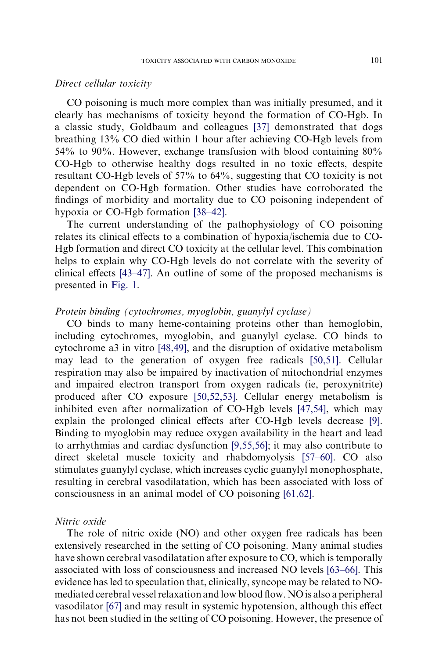#### Direct cellular toxicity

CO poisoning is much more complex than was initially presumed, and it clearly has mechanisms of toxicity beyond the formation of CO-Hgb. In a classic study, Goldbaum and colleagues [\[37\]](#page-18-0) demonstrated that dogs breathing 13% CO died within 1 hour after achieving CO-Hgb levels from 54% to 90%. However, exchange transfusion with blood containing 80% CO-Hgb to otherwise healthy dogs resulted in no toxic effects, despite resultant CO-Hgb levels of 57% to 64%, suggesting that CO toxicity is not dependent on CO-Hgb formation. Other studies have corroborated the findings of morbidity and mortality due to CO poisoning independent of hypoxia or CO-Hgb formation [\[38–42\].](#page-18-0)

The current understanding of the pathophysiology of CO poisoning relates its clinical effects to a combination of hypoxia/ischemia due to CO-Hgb formation and direct CO toxicity at the cellular level. This combination helps to explain why CO-Hgb levels do not correlate with the severity of clinical effects [\[43–47\].](#page-18-0) An outline of some of the proposed mechanisms is presented in [Fig. 1.](#page-3-0)

#### Protein binding (cytochromes, myoglobin, guanylyl cyclase)

CO binds to many heme-containing proteins other than hemoglobin, including cytochromes, myoglobin, and guanylyl cyclase. CO binds to cytochrome a3 in vitro [\[48,49\],](#page-18-0) and the disruption of oxidative metabolism may lead to the generation of oxygen free radicals [\[50,51\]](#page-19-0). Cellular respiration may also be impaired by inactivation of mitochondrial enzymes and impaired electron transport from oxygen radicals (ie, peroxynitrite) produced after CO exposure [\[50,52,53\].](#page-19-0) Cellular energy metabolism is inhibited even after normalization of CO-Hgb levels [\[47,54\],](#page-18-0) which may explain the prolonged clinical effects after CO-Hgb levels decrease [\[9\].](#page-17-0) Binding to myoglobin may reduce oxygen availability in the heart and lead to arrhythmias and cardiac dysfunction [\[9,55,56\]](#page-17-0); it may also contribute to direct skeletal muscle toxicity and rhabdomyolysis [\[57–60\].](#page-19-0) CO also stimulates guanylyl cyclase, which increases cyclic guanylyl monophosphate, resulting in cerebral vasodilatation, which has been associated with loss of consciousness in an animal model of CO poisoning [\[61,62\].](#page-19-0)

## Nitric oxide

The role of nitric oxide (NO) and other oxygen free radicals has been extensively researched in the setting of CO poisoning. Many animal studies have shown cerebral vasodilatation after exposure to CO, which is temporally associated with loss of consciousness and increased NO levels [\[63–66\]](#page-19-0). This evidence has led to speculation that, clinically, syncope may be related to NOmediated cerebral vessel relaxation and low blood flow. NO is also a peripheral vasodilator [\[67\]](#page-19-0) and may result in systemic hypotension, although this effect has not been studied in the setting of CO poisoning. However, the presence of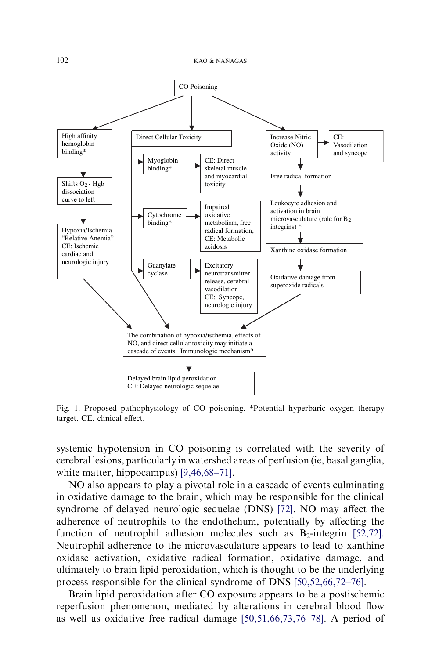<span id="page-3-0"></span>

Fig. 1. Proposed pathophysiology of CO poisoning. \*Potential hyperbaric oxygen therapy target. CE, clinical effect.

systemic hypotension in CO poisoning is correlated with the severity of cerebral lesions, particularly in watershed areas of perfusion (ie, basal ganglia, white matter, hippocampus) [\[9,46,68–71\]](#page-17-0).

NO also appears to play a pivotal role in a cascade of events culminating in oxidative damage to the brain, which may be responsible for the clinical syndrome of delayed neurologic sequelae (DNS) [\[72\]](#page-20-0). NO may affect the adherence of neutrophils to the endothelium, potentially by affecting the function of neutrophil adhesion molecules such as  $B_2$ -integrin [\[52,72\]](#page-19-0). Neutrophil adherence to the microvasculature appears to lead to xanthine oxidase activation, oxidative radical formation, oxidative damage, and ultimately to brain lipid peroxidation, which is thought to be the underlying process responsible for the clinical syndrome of DNS [\[50,52,66,72–76\].](#page-19-0)

Brain lipid peroxidation after CO exposure appears to be a postischemic reperfusion phenomenon, mediated by alterations in cerebral blood flow as well as oxidative free radical damage [\[50,51,66,73,76–78\].](#page-19-0) A period of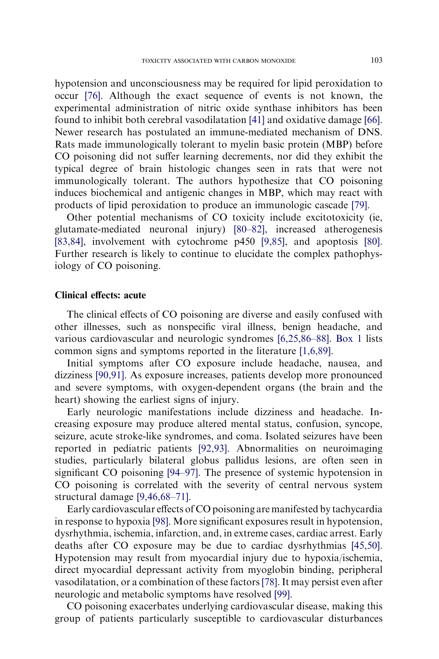hypotension and unconsciousness may be required for lipid peroxidation to occur [\[76\].](#page-20-0) Although the exact sequence of events is not known, the experimental administration of nitric oxide synthase inhibitors has been found to inhibit both cerebral vasodilatation [\[41\]](#page-18-0) and oxidative damage [\[66\].](#page-19-0) Newer research has postulated an immune-mediated mechanism of DNS. Rats made immunologically tolerant to myelin basic protein (MBP) before CO poisoning did not suffer learning decrements, nor did they exhibit the typical degree of brain histologic changes seen in rats that were not immunologically tolerant. The authors hypothesize that CO poisoning induces biochemical and antigenic changes in MBP, which may react with products of lipid peroxidation to produce an immunologic cascade [\[79\]](#page-20-0).

Other potential mechanisms of CO toxicity include excitotoxicity (ie, glutamate-mediated neuronal injury) [\[80–82\],](#page-20-0) increased atherogenesis [\[83,84\],](#page-20-0) involvement with cytochrome p450 [\[9,85\]](#page-17-0), and apoptosis [\[80\].](#page-20-0) Further research is likely to continue to elucidate the complex pathophysiology of CO poisoning.

#### Clinical effects: acute

The clinical effects of CO poisoning are diverse and easily confused with other illnesses, such as nonspecific viral illness, benign headache, and various cardiovascular and neurologic syndromes [\[6,25,86–88\].](#page-17-0) [Box 1](#page-5-0) lists common signs and symptoms reported in the literature [\[1,6,89\].](#page-16-0)

Initial symptoms after CO exposure include headache, nausea, and dizziness [\[90,91\]](#page-20-0). As exposure increases, patients develop more pronounced and severe symptoms, with oxygen-dependent organs (the brain and the heart) showing the earliest signs of injury.

Early neurologic manifestations include dizziness and headache. Increasing exposure may produce altered mental status, confusion, syncope, seizure, acute stroke-like syndromes, and coma. Isolated seizures have been reported in pediatric patients [\[92,93\]](#page-20-0). Abnormalities on neuroimaging studies, particularly bilateral globus pallidus lesions, are often seen in significant CO poisoning [\[94–97\].](#page-20-0) The presence of systemic hypotension in CO poisoning is correlated with the severity of central nervous system structural damage [\[9,46,68–71\]](#page-17-0).

Early cardiovascular effects of CO poisoning are manifested by tachycardia in response to hypoxia [\[98\].](#page-21-0) More significant exposures result in hypotension, dysrhythmia, ischemia, infarction, and, in extreme cases, cardiac arrest. Early deaths after CO exposure may be due to cardiac dysrhythmias [\[45,50\].](#page-18-0) Hypotension may result from myocardial injury due to hypoxia/ischemia, direct myocardial depressant activity from myoglobin binding, peripheral vasodilatation, or a combination of these factors[\[78\].](#page-20-0) It may persist even after neurologic and metabolic symptoms have resolved [\[99\]](#page-21-0).

CO poisoning exacerbates underlying cardiovascular disease, making this group of patients particularly susceptible to cardiovascular disturbances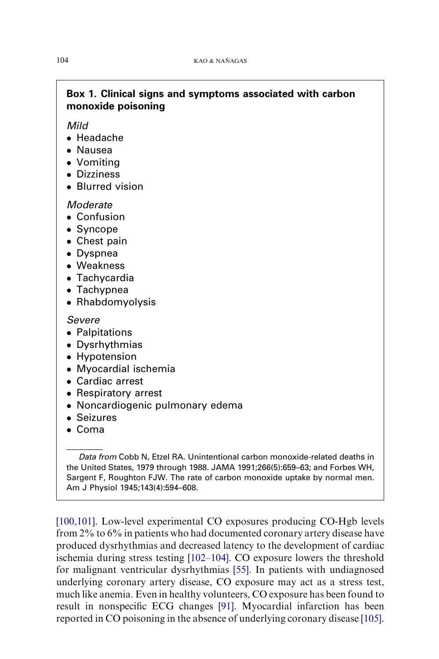# Box 1. Clinical signs and symptoms associated with carbon monoxide poisoning

Mild

- Headache
- Nausea
- Vomiting
- **•** Dizziness
- Blurred vision

# **Moderate**

- Confusion
- Syncope
- Chest pain
- Dyspnea
- Weakness
- Tachycardia
- Tachypnea
- Rhabdomyolysis

Severe

- Palpitations
- Dysrhythmias
- Hypotension
- Myocardial ischemia
- Cardiac arrest
- Respiratory arrest
- Noncardiogenic pulmonary edema
- Seizures
- Coma

Data from Cobb N, Etzel RA. Unintentional carbon monoxide-related deaths in the United States, 1979 through 1988. JAMA 1991;266(5):659–63; and Forbes WH, Sargent F, Roughton FJW. The rate of carbon monoxide uptake by normal men. Am J Physiol 1945;143(4):594–608.

[\[100,101\]](#page-21-0). Low-level experimental CO exposures producing CO-Hgb levels from 2% to 6% in patients who had documented coronary artery disease have produced dysrhythmias and decreased latency to the development of cardiac ischemia during stress testing [\[102–104\]](#page-21-0). CO exposure lowers the threshold for malignant ventricular dysrhythmias [\[55\].](#page-19-0) In patients with undiagnosed underlying coronary artery disease, CO exposure may act as a stress test, much like anemia. Even in healthy volunteers, CO exposure has been found to result in nonspecific ECG changes [\[91\]](#page-20-0). Myocardial infarction has been reported in CO poisoning in the absence of underlying coronary disease [\[105\]](#page-21-0).

<span id="page-5-0"></span>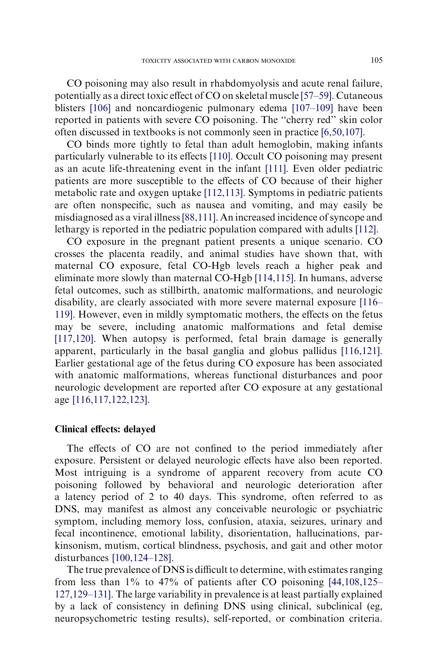CO poisoning may also result in rhabdomyolysis and acute renal failure, potentially as a direct toxic effect of CO on skeletal muscle [\[57–59\]](#page-19-0). Cutaneous blisters [\[106\]](#page-21-0) and noncardiogenic pulmonary edema [\[107–109\]](#page-21-0) have been reported in patients with severe CO poisoning. The ''cherry red'' skin color often discussed in textbooks is not commonly seen in practice [\[6,50,107\].](#page-17-0)

CO binds more tightly to fetal than adult hemoglobin, making infants particularly vulnerable to its effects [\[110\].](#page-21-0) Occult CO poisoning may present as an acute life-threatening event in the infant [\[111\]](#page-21-0). Even older pediatric patients are more susceptible to the effects of CO because of their higher metabolic rate and oxygen uptake [\[112,113\].](#page-21-0) Symptoms in pediatric patients are often nonspecific, such as nausea and vomiting, and may easily be misdiagnosed as a viral illness[\[88,111\]](#page-20-0). An increased incidence of syncope and lethargy is reported in the pediatric population compared with adults [\[112\]](#page-21-0).

CO exposure in the pregnant patient presents a unique scenario. CO crosses the placenta readily, and animal studies have shown that, with maternal CO exposure, fetal CO-Hgb levels reach a higher peak and eliminate more slowly than maternal CO-Hgb [\[114,115\].](#page-21-0) In humans, adverse fetal outcomes, such as stillbirth, anatomic malformations, and neurologic disability, are clearly associated with more severe maternal exposure [\[116–](#page-21-0) [119\]](#page-21-0). However, even in mildly symptomatic mothers, the effects on the fetus may be severe, including anatomic malformations and fetal demise [\[117,120\].](#page-21-0) When autopsy is performed, fetal brain damage is generally apparent, particularly in the basal ganglia and globus pallidus [\[116,121\].](#page-21-0) Earlier gestational age of the fetus during CO exposure has been associated with anatomic malformations, whereas functional disturbances and poor neurologic development are reported after CO exposure at any gestational age [\[116,117,122,123\].](#page-21-0)

#### Clinical effects: delayed

The effects of CO are not confined to the period immediately after exposure. Persistent or delayed neurologic effects have also been reported. Most intriguing is a syndrome of apparent recovery from acute CO poisoning followed by behavioral and neurologic deterioration after a latency period of 2 to 40 days. This syndrome, often referred to as DNS, may manifest as almost any conceivable neurologic or psychiatric symptom, including memory loss, confusion, ataxia, seizures, urinary and fecal incontinence, emotional lability, disorientation, hallucinations, parkinsonism, mutism, cortical blindness, psychosis, and gait and other motor disturbances [\[100,124–128\]](#page-21-0).

The true prevalence of DNS is difficult to determine, with estimates ranging from less than  $1\%$  to  $47\%$  of patients after CO poisoning [\[44,108,125–](#page-18-0) [127,129–131\]](#page-18-0). The large variability in prevalence is at least partially explained by a lack of consistency in defining DNS using clinical, subclinical (eg, neuropsychometric testing results), self-reported, or combination criteria.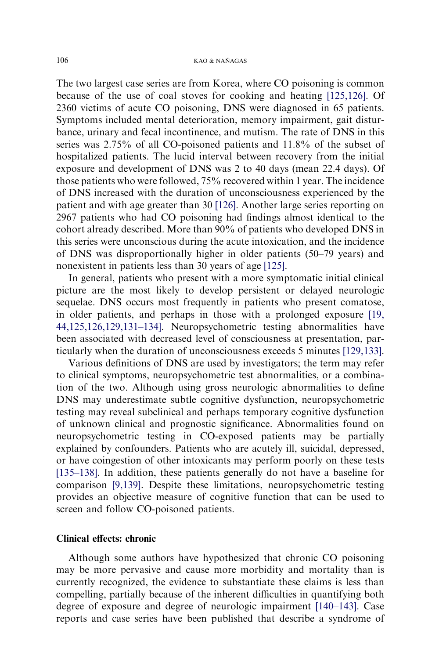The two largest case series are from Korea, where CO poisoning is common because of the use of coal stoves for cooking and heating [\[125,126\].](#page-22-0) Of 2360 victims of acute CO poisoning, DNS were diagnosed in 65 patients. Symptoms included mental deterioration, memory impairment, gait disturbance, urinary and fecal incontinence, and mutism. The rate of DNS in this series was 2.75% of all CO-poisoned patients and 11.8% of the subset of hospitalized patients. The lucid interval between recovery from the initial exposure and development of DNS was 2 to 40 days (mean 22.4 days). Of those patients who were followed, 75% recovered within 1 year. The incidence of DNS increased with the duration of unconsciousness experienced by the patient and with age greater than 30 [\[126\]](#page-22-0). Another large series reporting on 2967 patients who had CO poisoning had findings almost identical to the cohort already described. More than 90% of patients who developed DNS in this series were unconscious during the acute intoxication, and the incidence of DNS was disproportionally higher in older patients (50–79 years) and nonexistent in patients less than 30 years of age [\[125\]](#page-22-0).

In general, patients who present with a more symptomatic initial clinical picture are the most likely to develop persistent or delayed neurologic sequelae. DNS occurs most frequently in patients who present comatose, in older patients, and perhaps in those with a prolonged exposure [\[19,](#page-17-0) [44,125,126,129,131–134\].](#page-17-0) Neuropsychometric testing abnormalities have been associated with decreased level of consciousness at presentation, particularly when the duration of unconsciousness exceeds 5 minutes [\[129,133\]](#page-22-0).

Various definitions of DNS are used by investigators; the term may refer to clinical symptoms, neuropsychometric test abnormalities, or a combination of the two. Although using gross neurologic abnormalities to define DNS may underestimate subtle cognitive dysfunction, neuropsychometric testing may reveal subclinical and perhaps temporary cognitive dysfunction of unknown clinical and prognostic significance. Abnormalities found on neuropsychometric testing in CO-exposed patients may be partially explained by confounders. Patients who are acutely ill, suicidal, depressed, or have coingestion of other intoxicants may perform poorly on these tests [\[135–138\].](#page-22-0) In addition, these patients generally do not have a baseline for comparison [\[9,139\].](#page-17-0) Despite these limitations, neuropsychometric testing provides an objective measure of cognitive function that can be used to screen and follow CO-poisoned patients.

## Clinical effects: chronic

Although some authors have hypothesized that chronic CO poisoning may be more pervasive and cause more morbidity and mortality than is currently recognized, the evidence to substantiate these claims is less than compelling, partially because of the inherent difficulties in quantifying both degree of exposure and degree of neurologic impairment [\[140–143\].](#page-22-0) Case reports and case series have been published that describe a syndrome of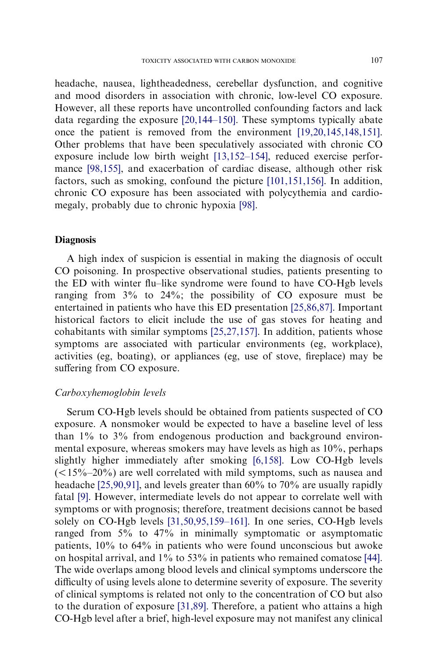headache, nausea, lightheadedness, cerebellar dysfunction, and cognitive and mood disorders in association with chronic, low-level CO exposure. However, all these reports have uncontrolled confounding factors and lack data regarding the exposure [\[20,144–150\].](#page-17-0) These symptoms typically abate once the patient is removed from the environment [\[19,20,145,148,151\].](#page-17-0) Other problems that have been speculatively associated with chronic CO exposure include low birth weight [\[13,152–154\],](#page-17-0) reduced exercise performance [\[98,155\],](#page-21-0) and exacerbation of cardiac disease, although other risk factors, such as smoking, confound the picture [\[101,151,156\].](#page-21-0) In addition, chronic CO exposure has been associated with polycythemia and cardiomegaly, probably due to chronic hypoxia [\[98\].](#page-21-0)

## **Diagnosis**

A high index of suspicion is essential in making the diagnosis of occult CO poisoning. In prospective observational studies, patients presenting to the ED with winter flu–like syndrome were found to have CO-Hgb levels ranging from 3% to 24%; the possibility of CO exposure must be entertained in patients who have this ED presentation [\[25,86,87\]](#page-18-0). Important historical factors to elicit include the use of gas stoves for heating and cohabitants with similar symptoms [\[25,27,157\]](#page-18-0). In addition, patients whose symptoms are associated with particular environments (eg, workplace), activities (eg, boating), or appliances (eg, use of stove, fireplace) may be suffering from CO exposure.

#### Carboxyhemoglobin levels

Serum CO-Hgb levels should be obtained from patients suspected of CO exposure. A nonsmoker would be expected to have a baseline level of less than 1% to 3% from endogenous production and background environmental exposure, whereas smokers may have levels as high as 10%, perhaps slightly higher immediately after smoking [\[6,158\]](#page-17-0). Low CO-Hgb levels  $(<15\degree-20\degree)$  are well correlated with mild symptoms, such as nausea and headache [\[25,90,91\],](#page-18-0) and levels greater than 60% to 70% are usually rapidly fatal [\[9\].](#page-17-0) However, intermediate levels do not appear to correlate well with symptoms or with prognosis; therefore, treatment decisions cannot be based solely on CO-Hgb levels [\[31,50,95,159–161\]](#page-18-0). In one series, CO-Hgb levels ranged from 5% to 47% in minimally symptomatic or asymptomatic patients, 10% to 64% in patients who were found unconscious but awoke on hospital arrival, and 1% to 53% in patients who remained comatose [\[44\].](#page-18-0) The wide overlaps among blood levels and clinical symptoms underscore the difficulty of using levels alone to determine severity of exposure. The severity of clinical symptoms is related not only to the concentration of CO but also to the duration of exposure [\[31,89\].](#page-18-0) Therefore, a patient who attains a high CO-Hgb level after a brief, high-level exposure may not manifest any clinical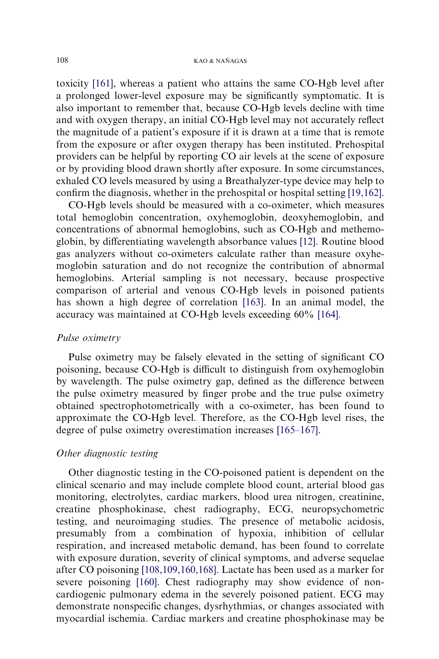toxicity [\[161\],](#page-23-0) whereas a patient who attains the same CO-Hgb level after a prolonged lower-level exposure may be significantly symptomatic. It is also important to remember that, because CO-Hgb levels decline with time and with oxygen therapy, an initial CO-Hgb level may not accurately reflect the magnitude of a patient's exposure if it is drawn at a time that is remote from the exposure or after oxygen therapy has been instituted. Prehospital providers can be helpful by reporting CO air levels at the scene of exposure or by providing blood drawn shortly after exposure. In some circumstances, exhaled CO levels measured by using a Breathalyzer-type device may help to confirm the diagnosis, whether in the prehospital or hospital setting [\[19,162\]](#page-17-0).

CO-Hgb levels should be measured with a co-oximeter, which measures total hemoglobin concentration, oxyhemoglobin, deoxyhemoglobin, and concentrations of abnormal hemoglobins, such as CO-Hgb and methemoglobin, by differentiating wavelength absorbance values [\[12\].](#page-17-0) Routine blood gas analyzers without co-oximeters calculate rather than measure oxyhemoglobin saturation and do not recognize the contribution of abnormal hemoglobins. Arterial sampling is not necessary, because prospective comparison of arterial and venous CO-Hgb levels in poisoned patients has shown a high degree of correlation [\[163\]](#page-23-0). In an animal model, the accuracy was maintained at CO-Hgb levels exceeding 60% [\[164\].](#page-23-0)

#### Pulse oximetry

Pulse oximetry may be falsely elevated in the setting of significant CO poisoning, because CO-Hgb is difficult to distinguish from oxyhemoglobin by wavelength. The pulse oximetry gap, defined as the difference between the pulse oximetry measured by finger probe and the true pulse oximetry obtained spectrophotometrically with a co-oximeter, has been found to approximate the CO-Hgb level. Therefore, as the CO-Hgb level rises, the degree of pulse oximetry overestimation increases [\[165–167\].](#page-23-0)

## Other diagnostic testing

Other diagnostic testing in the CO-poisoned patient is dependent on the clinical scenario and may include complete blood count, arterial blood gas monitoring, electrolytes, cardiac markers, blood urea nitrogen, creatinine, creatine phosphokinase, chest radiography, ECG, neuropsychometric testing, and neuroimaging studies. The presence of metabolic acidosis, presumably from a combination of hypoxia, inhibition of cellular respiration, and increased metabolic demand, has been found to correlate with exposure duration, severity of clinical symptoms, and adverse sequelae after CO poisoning [\[108,109,160,168\].](#page-21-0) Lactate has been used as a marker for severe poisoning [\[160\].](#page-23-0) Chest radiography may show evidence of noncardiogenic pulmonary edema in the severely poisoned patient. ECG may demonstrate nonspecific changes, dysrhythmias, or changes associated with myocardial ischemia. Cardiac markers and creatine phosphokinase may be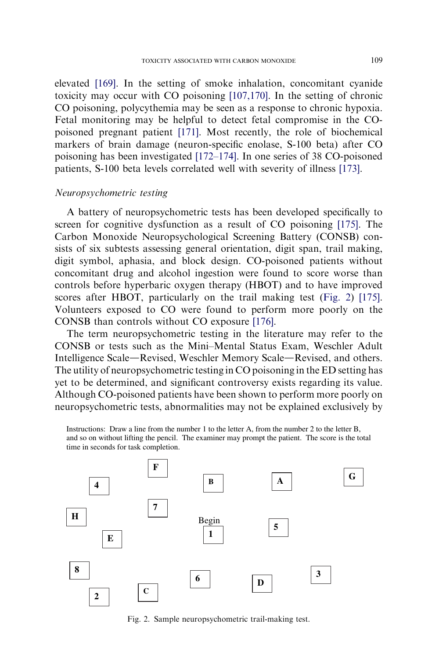elevated [\[169\].](#page-24-0) In the setting of smoke inhalation, concomitant cyanide toxicity may occur with CO poisoning [\[107,170\].](#page-21-0) In the setting of chronic CO poisoning, polycythemia may be seen as a response to chronic hypoxia. Fetal monitoring may be helpful to detect fetal compromise in the COpoisoned pregnant patient [\[171\].](#page-24-0) Most recently, the role of biochemical markers of brain damage (neuron-specific enolase, S-100 beta) after CO poisoning has been investigated [\[172–174\].](#page-24-0) In one series of 38 CO-poisoned patients, S-100 beta levels correlated well with severity of illness [\[173\]](#page-24-0).

#### Neuropsychometric testing

A battery of neuropsychometric tests has been developed specifically to screen for cognitive dysfunction as a result of CO poisoning [\[175\].](#page-24-0) The Carbon Monoxide Neuropsychological Screening Battery (CONSB) consists of six subtests assessing general orientation, digit span, trail making, digit symbol, aphasia, and block design. CO-poisoned patients without concomitant drug and alcohol ingestion were found to score worse than controls before hyperbaric oxygen therapy (HBOT) and to have improved scores after HBOT, particularly on the trail making test (Fig. 2) [\[175\].](#page-24-0) Volunteers exposed to CO were found to perform more poorly on the CONSB than controls without CO exposure [\[176\]](#page-24-0).

The term neuropsychometric testing in the literature may refer to the CONSB or tests such as the Mini–Mental Status Exam, Weschler Adult Intelligence Scale—Revised, Weschler Memory Scale—Revised, and others. The utility of neuropsychometric testing in CO poisoning in the ED setting has yet to be determined, and significant controversy exists regarding its value. Although CO-poisoned patients have been shown to perform more poorly on neuropsychometric tests, abnormalities may not be explained exclusively by

Instructions: Draw a line from the number 1 to the letter A, from the number 2 to the letter B, and so on without lifting the pencil. The examiner may prompt the patient. The score is the total time in seconds for task completion.



Fig. 2. Sample neuropsychometric trail-making test.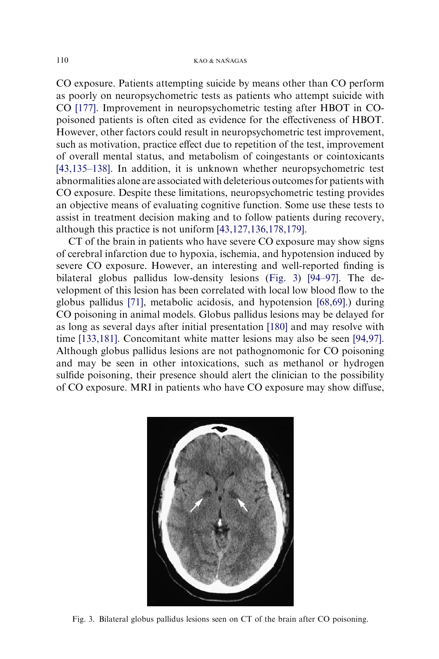CO exposure. Patients attempting suicide by means other than CO perform as poorly on neuropsychometric tests as patients who attempt suicide with CO [\[177\]](#page-24-0). Improvement in neuropsychometric testing after HBOT in COpoisoned patients is often cited as evidence for the effectiveness of HBOT. However, other factors could result in neuropsychometric test improvement, such as motivation, practice effect due to repetition of the test, improvement of overall mental status, and metabolism of coingestants or cointoxicants [\[43,135–138\]](#page-18-0). In addition, it is unknown whether neuropsychometric test abnormalities alone are associated with deleterious outcomes for patients with CO exposure. Despite these limitations, neuropsychometric testing provides an objective means of evaluating cognitive function. Some use these tests to assist in treatment decision making and to follow patients during recovery, although this practice is not uniform [\[43,127,136,178,179\].](#page-18-0)

CT of the brain in patients who have severe CO exposure may show signs of cerebral infarction due to hypoxia, ischemia, and hypotension induced by severe CO exposure. However, an interesting and well-reported finding is bilateral globus pallidus low-density lesions (Fig. 3) [\[94–97\]](#page-20-0). The development of this lesion has been correlated with local low blood flow to the globus pallidus [\[71\]](#page-19-0), metabolic acidosis, and hypotension [\[68,69\].](#page-19-0)) during CO poisoning in animal models. Globus pallidus lesions may be delayed for as long as several days after initial presentation [\[180\]](#page-24-0) and may resolve with time [\[133,181\]](#page-22-0). Concomitant white matter lesions may also be seen [\[94,97\]](#page-20-0). Although globus pallidus lesions are not pathognomonic for CO poisoning and may be seen in other intoxications, such as methanol or hydrogen sulfide poisoning, their presence should alert the clinician to the possibility of CO exposure. MRI in patients who have CO exposure may show diffuse,



Fig. 3. Bilateral globus pallidus lesions seen on CT of the brain after CO poisoning.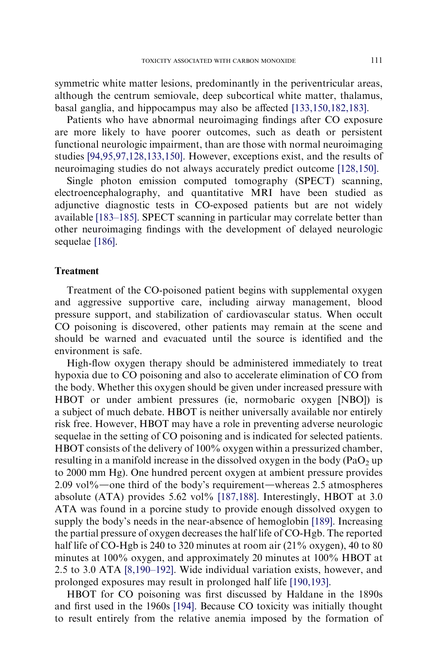symmetric white matter lesions, predominantly in the periventricular areas, although the centrum semiovale, deep subcortical white matter, thalamus, basal ganglia, and hippocampus may also be affected [\[133,150,182,183\].](#page-22-0)

Patients who have abnormal neuroimaging findings after CO exposure are more likely to have poorer outcomes, such as death or persistent functional neurologic impairment, than are those with normal neuroimaging studies [\[94,95,97,128,133,150\].](#page-20-0) However, exceptions exist, and the results of neuroimaging studies do not always accurately predict outcome [\[128,150\]](#page-22-0).

Single photon emission computed tomography (SPECT) scanning, electroencephalography, and quantitative MRI have been studied as adjunctive diagnostic tests in CO-exposed patients but are not widely available [\[183–185\].](#page-24-0) SPECT scanning in particular may correlate better than other neuroimaging findings with the development of delayed neurologic sequelae [\[186\]](#page-24-0).

## Treatment

Treatment of the CO-poisoned patient begins with supplemental oxygen and aggressive supportive care, including airway management, blood pressure support, and stabilization of cardiovascular status. When occult CO poisoning is discovered, other patients may remain at the scene and should be warned and evacuated until the source is identified and the environment is safe.

High-flow oxygen therapy should be administered immediately to treat hypoxia due to CO poisoning and also to accelerate elimination of CO from the body. Whether this oxygen should be given under increased pressure with HBOT or under ambient pressures (ie, normobaric oxygen [NBO]) is a subject of much debate. HBOT is neither universally available nor entirely risk free. However, HBOT may have a role in preventing adverse neurologic sequelae in the setting of CO poisoning and is indicated for selected patients. HBOT consists of the delivery of 100% oxygen within a pressurized chamber, resulting in a manifold increase in the dissolved oxygen in the body (PaO<sub>2</sub> up to 2000 mm Hg). One hundred percent oxygen at ambient pressure provides  $2.09$  vol%—one third of the body's requirement—whereas 2.5 atmospheres absolute (ATA) provides 5.62 vol% [\[187,188\]](#page-24-0). Interestingly, HBOT at 3.0 ATA was found in a porcine study to provide enough dissolved oxygen to supply the body's needs in the near-absence of hemoglobin [\[189\]](#page-25-0). Increasing the partial pressure of oxygen decreases the half life of CO-Hgb. The reported half life of CO-Hgb is 240 to 320 minutes at room air (21% oxygen), 40 to 80 minutes at 100% oxygen, and approximately 20 minutes at 100% HBOT at 2.5 to 3.0 ATA [\[8,190–192\].](#page-17-0) Wide individual variation exists, however, and prolonged exposures may result in prolonged half life [\[190,193\]](#page-25-0).

HBOT for CO poisoning was first discussed by Haldane in the 1890s and first used in the 1960s [\[194\]](#page-25-0). Because CO toxicity was initially thought to result entirely from the relative anemia imposed by the formation of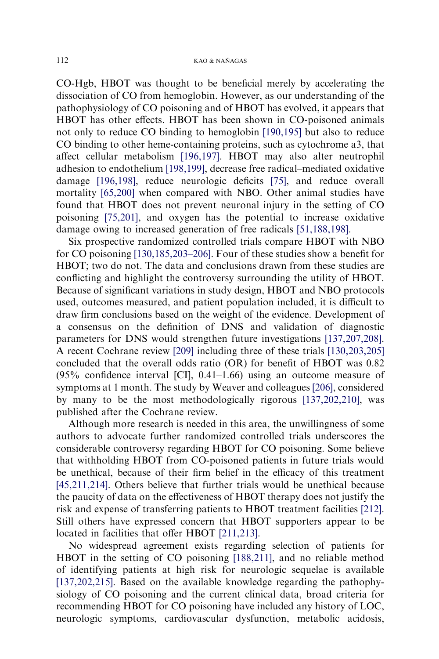CO-Hgb, HBOT was thought to be beneficial merely by accelerating the dissociation of CO from hemoglobin. However, as our understanding of the pathophysiology of CO poisoning and of HBOT has evolved, it appears that HBOT has other effects. HBOT has been shown in CO-poisoned animals not only to reduce CO binding to hemoglobin [\[190,195\]](#page-25-0) but also to reduce CO binding to other heme-containing proteins, such as cytochrome a3, that affect cellular metabolism [\[196,197\].](#page-25-0) HBOT may also alter neutrophil adhesion to endothelium [\[198,199\]](#page-25-0), decrease free radical–mediated oxidative damage [\[196,198\]](#page-25-0), reduce neurologic deficits [\[75\],](#page-20-0) and reduce overall mortality [\[65,200\]](#page-19-0) when compared with NBO. Other animal studies have found that HBOT does not prevent neuronal injury in the setting of CO poisoning [\[75,201\]](#page-20-0), and oxygen has the potential to increase oxidative damage owing to increased generation of free radicals [\[51,188,198\].](#page-19-0)

Six prospective randomized controlled trials compare HBOT with NBO for CO poisoning [\[130,185,203–206\]](#page-22-0). Four of these studies show a benefit for HBOT; two do not. The data and conclusions drawn from these studies are conflicting and highlight the controversy surrounding the utility of HBOT. Because of significant variations in study design, HBOT and NBO protocols used, outcomes measured, and patient population included, it is difficult to draw firm conclusions based on the weight of the evidence. Development of a consensus on the definition of DNS and validation of diagnostic parameters for DNS would strengthen future investigations [\[137,207,208\]](#page-22-0). A recent Cochrane review [\[209\]](#page-25-0) including three of these trials [\[130,203,205\]](#page-22-0) concluded that the overall odds ratio (OR) for benefit of HBOT was 0.82  $(95\%$  confidence interval [CI],  $0.41-1.66$ ) using an outcome measure of symptoms at 1 month. The study by Weaver and colleagues [\[206\],](#page-25-0) considered by many to be the most methodologically rigorous [\[137,202,210\],](#page-22-0) was published after the Cochrane review.

Although more research is needed in this area, the unwillingness of some authors to advocate further randomized controlled trials underscores the considerable controversy regarding HBOT for CO poisoning. Some believe that withholding HBOT from CO-poisoned patients in future trials would be unethical, because of their firm belief in the efficacy of this treatment [\[45,211,214\]](#page-18-0). Others believe that further trials would be unethical because the paucity of data on the effectiveness of HBOT therapy does not justify the risk and expense of transferring patients to HBOT treatment facilities [\[212\]](#page-26-0). Still others have expressed concern that HBOT supporters appear to be located in facilities that offer HBOT [\[211,213\].](#page-26-0)

No widespread agreement exists regarding selection of patients for HBOT in the setting of CO poisoning [\[188,211\],](#page-25-0) and no reliable method of identifying patients at high risk for neurologic sequelae is available [\[137,202,215\]](#page-22-0). Based on the available knowledge regarding the pathophysiology of CO poisoning and the current clinical data, broad criteria for recommending HBOT for CO poisoning have included any history of LOC, neurologic symptoms, cardiovascular dysfunction, metabolic acidosis,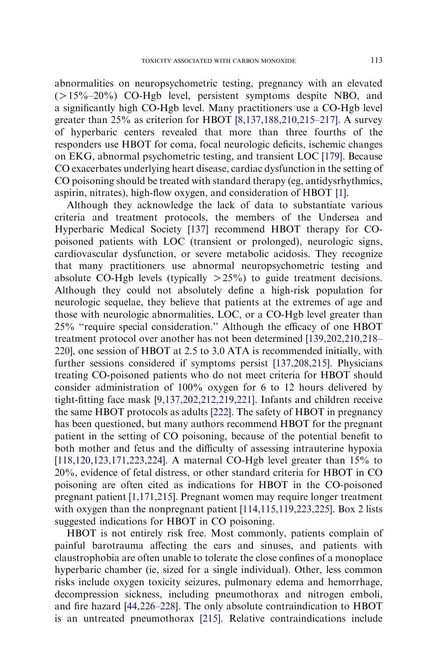abnormalities on neuropsychometric testing, pregnancy with an elevated  $(>15\% - 20\%)$  CO-Hgb level, persistent symptoms despite NBO, and a significantly high CO-Hgb level. Many practitioners use a CO-Hgb level greater than  $25\%$  as criterion for HBOT  $\left[8,137,188,210,215-217\right]$ . A survey of hyperbaric centers revealed that more than three fourths of the responders use HBOT for coma, focal neurologic deficits, ischemic changes on EKG, abnormal psychometric testing, and transient LOC [\[179\].](#page-24-0) Because CO exacerbates underlying heart disease, cardiac dysfunction in the setting of CO poisoning should be treated with standard therapy (eg, antidysrhythmics, aspirin, nitrates), high-flow oxygen, and consideration of HBOT [\[1\].](#page-16-0)

Although they acknowledge the lack of data to substantiate various criteria and treatment protocols, the members of the Undersea and Hyperbaric Medical Society [\[137\]](#page-22-0) recommend HBOT therapy for COpoisoned patients with LOC (transient or prolonged), neurologic signs, cardiovascular dysfunction, or severe metabolic acidosis. They recognize that many practitioners use abnormal neuropsychometric testing and absolute CO-Hgb levels (typically  $>25\%$ ) to guide treatment decisions. Although they could not absolutely define a high-risk population for neurologic sequelae, they believe that patients at the extremes of age and those with neurologic abnormalities, LOC, or a CO-Hgb level greater than 25% ''require special consideration.'' Although the efficacy of one HBOT treatment protocol over another has not been determined [\[139,202,210,218–](#page-22-0) [220\]](#page-22-0), one session of HBOT at 2.5 to 3.0 ATA is recommended initially, with further sessions considered if symptoms persist [\[137,208,215\].](#page-22-0) Physicians treating CO-poisoned patients who do not meet criteria for HBOT should consider administration of 100% oxygen for 6 to 12 hours delivered by tight-fitting face mask [\[9,137,202,212,219,221\].](#page-17-0) Infants and children receive the same HBOT protocols as adults [\[222\].](#page-26-0) The safety of HBOT in pregnancy has been questioned, but many authors recommend HBOT for the pregnant patient in the setting of CO poisoning, because of the potential benefit to both mother and fetus and the difficulty of assessing intrauterine hypoxia [\[118,120,123,171,223,224\].](#page-21-0) A maternal CO-Hgb level greater than 15% to 20%, evidence of fetal distress, or other standard criteria for HBOT in CO poisoning are often cited as indications for HBOT in the CO-poisoned pregnant patient [\[1,171,215\].](#page-16-0) Pregnant women may require longer treatment with oxygen than the nonpregnant patient [\[114,115,119,223,225\]](#page-21-0). [Box 2](#page-15-0) lists suggested indications for HBOT in CO poisoning.

HBOT is not entirely risk free. Most commonly, patients complain of painful barotrauma affecting the ears and sinuses, and patients with claustrophobia are often unable to tolerate the close confines of a monoplace hyperbaric chamber (ie, sized for a single individual). Other, less common risks include oxygen toxicity seizures, pulmonary edema and hemorrhage, decompression sickness, including pneumothorax and nitrogen emboli, and fire hazard [\[44,226–228\]](#page-18-0). The only absolute contraindication to HBOT is an untreated pneumothorax [\[215\]](#page-26-0). Relative contraindications include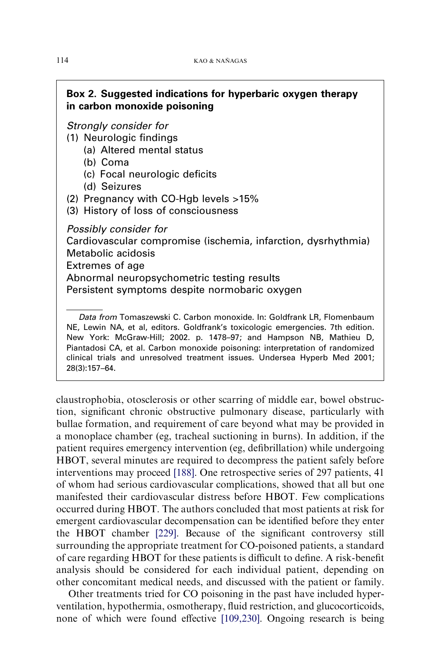# <span id="page-15-0"></span>Box 2. Suggested indications for hyperbaric oxygen therapy in carbon monoxide poisoning

Strongly consider for

- (1) Neurologic findings
	- (a) Altered mental status
	- (b) Coma
	- (c) Focal neurologic deficits
	- (d) Seizures
- (2) Pregnancy with CO-Hgb levels >15%
- (3) History of loss of consciousness

Possibly consider for Cardiovascular compromise (ischemia, infarction, dysrhythmia) Metabolic acidosis Extremes of age Abnormal neuropsychometric testing results Persistent symptoms despite normobaric oxygen

Data from Tomaszewski C. Carbon monoxide. In: Goldfrank LR, Flomenbaum NE, Lewin NA, et al, editors. Goldfrank's toxicologic emergencies. 7th edition. New York: McGraw-Hill; 2002. p. 1478–97; and Hampson NB, Mathieu D, Piantadosi CA, et al. Carbon monoxide poisoning: interpretation of randomized clinical trials and unresolved treatment issues. Undersea Hyperb Med 2001; 28(3):157–64.

claustrophobia, otosclerosis or other scarring of middle ear, bowel obstruction, significant chronic obstructive pulmonary disease, particularly with bullae formation, and requirement of care beyond what may be provided in a monoplace chamber (eg, tracheal suctioning in burns). In addition, if the patient requires emergency intervention (eg, defibrillation) while undergoing HBOT, several minutes are required to decompress the patient safely before interventions may proceed [\[188\]](#page-25-0). One retrospective series of 297 patients, 41 of whom had serious cardiovascular complications, showed that all but one manifested their cardiovascular distress before HBOT. Few complications occurred during HBOT. The authors concluded that most patients at risk for emergent cardiovascular decompensation can be identified before they enter the HBOT chamber [\[229\].](#page-26-0) Because of the significant controversy still surrounding the appropriate treatment for CO-poisoned patients, a standard of care regarding HBOT for these patients is difficult to define. A risk-benefit analysis should be considered for each individual patient, depending on other concomitant medical needs, and discussed with the patient or family.

Other treatments tried for CO poisoning in the past have included hyperventilation, hypothermia, osmotherapy, fluid restriction, and glucocorticoids, none of which were found effective [\[109,230\]](#page-21-0). Ongoing research is being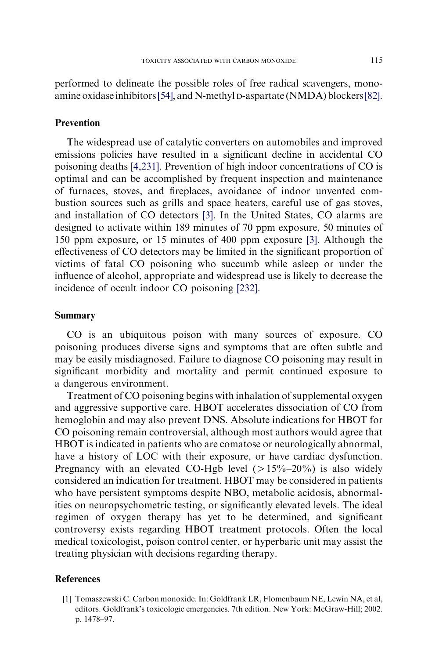<span id="page-16-0"></span>performed to delineate the possible roles of free radical scavengers, monoamine oxidase inhibitors[\[54\],](#page-19-0) and N-methyl D-aspartate (NMDA) blockers[\[82\].](#page-20-0)

## Prevention

The widespread use of catalytic converters on automobiles and improved emissions policies have resulted in a significant decline in accidental CO poisoning deaths [\[4,231\].](#page-17-0) Prevention of high indoor concentrations of CO is optimal and can be accomplished by frequent inspection and maintenance of furnaces, stoves, and fireplaces, avoidance of indoor unvented combustion sources such as grills and space heaters, careful use of gas stoves, and installation of CO detectors [\[3\].](#page-17-0) In the United States, CO alarms are designed to activate within 189 minutes of 70 ppm exposure, 50 minutes of 150 ppm exposure, or 15 minutes of 400 ppm exposure [\[3\]](#page-17-0). Although the effectiveness of CO detectors may be limited in the significant proportion of victims of fatal CO poisoning who succumb while asleep or under the influence of alcohol, appropriate and widespread use is likely to decrease the incidence of occult indoor CO poisoning [\[232\]](#page-26-0).

# Summary

CO is an ubiquitous poison with many sources of exposure. CO poisoning produces diverse signs and symptoms that are often subtle and may be easily misdiagnosed. Failure to diagnose CO poisoning may result in significant morbidity and mortality and permit continued exposure to a dangerous environment.

Treatment of CO poisoning begins with inhalation of supplemental oxygen and aggressive supportive care. HBOT accelerates dissociation of CO from hemoglobin and may also prevent DNS. Absolute indications for HBOT for CO poisoning remain controversial, although most authors would agree that HBOT is indicated in patients who are comatose or neurologically abnormal, have a history of LOC with their exposure, or have cardiac dysfunction. Pregnancy with an elevated CO-Hgb level  $(>15\% - 20\%)$  is also widely considered an indication for treatment. HBOT may be considered in patients who have persistent symptoms despite NBO, metabolic acidosis, abnormalities on neuropsychometric testing, or significantly elevated levels. The ideal regimen of oxygen therapy has yet to be determined, and significant controversy exists regarding HBOT treatment protocols. Often the local medical toxicologist, poison control center, or hyperbaric unit may assist the treating physician with decisions regarding therapy.

## References

[1] Tomaszewski C. Carbon monoxide. In: Goldfrank LR, Flomenbaum NE, Lewin NA, et al, editors. Goldfrank's toxicologic emergencies. 7th edition. New York: McGraw-Hill; 2002. p. 1478–97.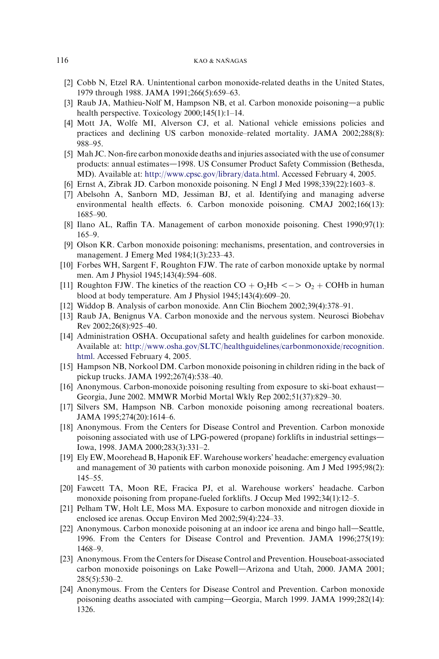- <span id="page-17-0"></span>[2] Cobb N, Etzel RA. Unintentional carbon monoxide-related deaths in the United States, 1979 through 1988. JAMA 1991;266(5):659–63.
- [3] Raub JA, Mathieu-Nolf M, Hampson NB, et al. Carbon monoxide poisoning—a public health perspective. Toxicology 2000;145(1):1–14.
- [4] Mott JA, Wolfe MI, Alverson CJ, et al. National vehicle emissions policies and practices and declining US carbon monoxide–related mortality. JAMA 2002;288(8): 988–95.
- [5] Mah JC. Non-fire carbon monoxide deaths and injuries associated with the use of consumer products: annual estimates-1998. US Consumer Product Safety Commission (Bethesda, MD). Available at: <http://www.cpsc.gov/library/data.html>. Accessed February 4, 2005.
- [6] Ernst A, Zibrak JD. Carbon monoxide poisoning. N Engl J Med 1998;339(22):1603–8.
- [7] Abelsohn A, Sanborn MD, Jessiman BJ, et al. Identifying and managing adverse environmental health effects. 6. Carbon monoxide poisoning. CMAJ 2002;166(13): 1685–90.
- [8] Ilano AL, Raffin TA. Management of carbon monoxide poisoning. Chest 1990;97(1): 165–9.
- [9] Olson KR. Carbon monoxide poisoning: mechanisms, presentation, and controversies in management. J Emerg Med 1984;1(3):233–43.
- [10] Forbes WH, Sargent F, Roughton FJW. The rate of carbon monoxide uptake by normal men. Am J Physiol 1945;143(4):594–608.
- [11] Roughton FJW. The kinetics of the reaction  $CO + O_2Hb \le -\frac{1}{2} + \text{COHb}$  in human blood at body temperature. Am J Physiol 1945;143(4):609–20.
- [12] Widdop B. Analysis of carbon monoxide. Ann Clin Biochem 2002;39(4):378–91.
- [13] Raub JA, Benignus VA. Carbon monoxide and the nervous system. Neurosci Biobehav Rev 2002;26(8):925–40.
- [14] Administration OSHA. Occupational safety and health guidelines for carbon monoxide. Available at: [http://www.osha.gov/SLTC/healthguidelines/carbonmonoxide/recognition.](http://www.osha.gov/SLTC/healthguidelines/carbonmonoxide/recognition.html) [html](http://www.osha.gov/SLTC/healthguidelines/carbonmonoxide/recognition.html). Accessed February 4, 2005.
- [15] Hampson NB, Norkool DM. Carbon monoxide poisoning in children riding in the back of pickup trucks. JAMA 1992;267(4):538–40.
- $[16]$  Anonymous. Carbon-monoxide poisoning resulting from exposure to ski-boat exhaust-Georgia, June 2002. MMWR Morbid Mortal Wkly Rep 2002;51(37):829–30.
- [17] Silvers SM, Hampson NB. Carbon monoxide poisoning among recreational boaters. JAMA 1995;274(20):1614–6.
- [18] Anonymous. From the Centers for Disease Control and Prevention. Carbon monoxide poisoning associated with use of LPG-powered (propane) for klifts in industrial settings— Iowa, 1998. JAMA 2000;283(3):331–2.
- [19] Ely EW, Moorehead B, Haponik EF. Warehouse workers' headache: emergency evaluation and management of 30 patients with carbon monoxide poisoning. Am J Med 1995;98(2): 145–55.
- [20] Fawcett TA, Moon RE, Fracica PJ, et al. Warehouse workers' headache. Carbon monoxide poisoning from propane-fueled forklifts. J Occup Med 1992;34(1):12–5.
- [21] Pelham TW, Holt LE, Moss MA. Exposure to carbon monoxide and nitrogen dioxide in enclosed ice arenas. Occup Environ Med 2002;59(4):224–33.
- $[22]$  Anonymous. Carbon monoxide poisoning at an indoor ice arena and bingo hall—Seattle, 1996. From the Centers for Disease Control and Prevention. JAMA 1996;275(19): 1468–9.
- [23] Anonymous. From the Centers for Disease Control and Prevention. Houseboat-associated carbon monoxide poisonings on Lake Powell—Arizona and Utah, 2000. JAMA 2001; 285(5):530–2.
- [24] Anonymous. From the Centers for Disease Control and Prevention. Carbon monoxide poisoning deaths associated with camping-Georgia, March 1999. JAMA 1999;282(14): 1326.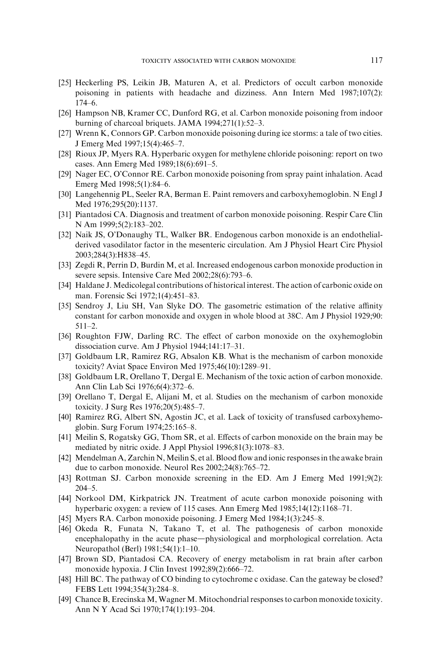- <span id="page-18-0"></span>[25] Heckerling PS, Leikin JB, Maturen A, et al. Predictors of occult carbon monoxide poisoning in patients with headache and dizziness. Ann Intern Med 1987;107(2): 174–6.
- [26] Hampson NB, Kramer CC, Dunford RG, et al. Carbon monoxide poisoning from indoor burning of charcoal briquets. JAMA 1994;271(1):52–3.
- [27] Wrenn K, Connors GP. Carbon monoxide poisoning during ice storms: a tale of two cities. J Emerg Med 1997;15(4):465–7.
- [28] Rioux JP, Myers RA. Hyperbaric oxygen for methylene chloride poisoning: report on two cases. Ann Emerg Med 1989;18(6):691–5.
- [29] Nager EC, O'Connor RE. Carbon monoxide poisoning from spray paint inhalation. Acad Emerg Med 1998;5(1):84–6.
- [30] Langehennig PL, Seeler RA, Berman E. Paint removers and carboxyhemoglobin. N Engl J Med 1976;295(20):1137.
- [31] Piantadosi CA. Diagnosis and treatment of carbon monoxide poisoning. Respir Care Clin N Am 1999;5(2):183–202.
- [32] Naik JS, O'Donaughy TL, Walker BR. Endogenous carbon monoxide is an endothelialderived vasodilator factor in the mesenteric circulation. Am J Physiol Heart Circ Physiol 2003;284(3):H838–45.
- [33] Zegdi R, Perrin D, Burdin M, et al. Increased endogenous carbon monoxide production in severe sepsis. Intensive Care Med 2002;28(6):793–6.
- [34] Haldane J. Medicolegal contributions of historical interest. The action of carbonic oxide on man. Forensic Sci 1972;1(4):451–83.
- [35] Sendroy J, Liu SH, Van Slyke DO. The gasometric estimation of the relative affinity constant for carbon monoxide and oxygen in whole blood at 38C. Am J Physiol 1929;90: 511–2.
- [36] Roughton FJW, Darling RC. The effect of carbon monoxide on the oxyhemoglobin dissociation curve. Am J Physiol 1944;141:17–31.
- [37] Goldbaum LR, Ramirez RG, Absalon KB. What is the mechanism of carbon monoxide toxicity? Aviat Space Environ Med 1975;46(10):1289–91.
- [38] Goldbaum LR, Orellano T, Dergal E. Mechanism of the toxic action of carbon monoxide. Ann Clin Lab Sci 1976;6(4):372–6.
- [39] Orellano T, Dergal E, Alijani M, et al. Studies on the mechanism of carbon monoxide toxicity. J Surg Res 1976;20(5):485–7.
- [40] Ramirez RG, Albert SN, Agostin JC, et al. Lack of toxicity of transfused carboxyhemoglobin. Surg Forum 1974;25:165–8.
- [41] Meilin S, Rogatsky GG, Thom SR, et al. Effects of carbon monoxide on the brain may be mediated by nitric oxide. J Appl Physiol 1996;81(3):1078–83.
- [42] Mendelman A, Zarchin N, Meilin S, et al. Blood flow and ionic responses in the awake brain due to carbon monoxide. Neurol Res 2002;24(8):765–72.
- [43] Rottman SJ. Carbon monoxide screening in the ED. Am J Emerg Med 1991;9(2): 204–5.
- [44] Norkool DM, Kirkpatrick JN. Treatment of acute carbon monoxide poisoning with hyperbaric oxygen: a review of 115 cases. Ann Emerg Med 1985;14(12):1168–71.
- [45] Myers RA. Carbon monoxide poisoning. J Emerg Med 1984;1(3):245–8.
- [46] Okeda R, Funata N, Takano T, et al. The pathogenesis of carbon monoxide encephalopathy in the acute phase—physiological and morphological correlation. Acta Neuropathol (Berl) 1981;54(1):1–10.
- [47] Brown SD, Piantadosi CA. Recovery of energy metabolism in rat brain after carbon monoxide hypoxia. J Clin Invest 1992;89(2):666–72.
- [48] Hill BC. The pathway of CO binding to cytochrome c oxidase. Can the gateway be closed? FEBS Lett 1994;354(3):284–8.
- [49] Chance B, Erecinska M, Wagner M. Mitochondrial responses to carbon monoxide toxicity. Ann N Y Acad Sci 1970;174(1):193–204.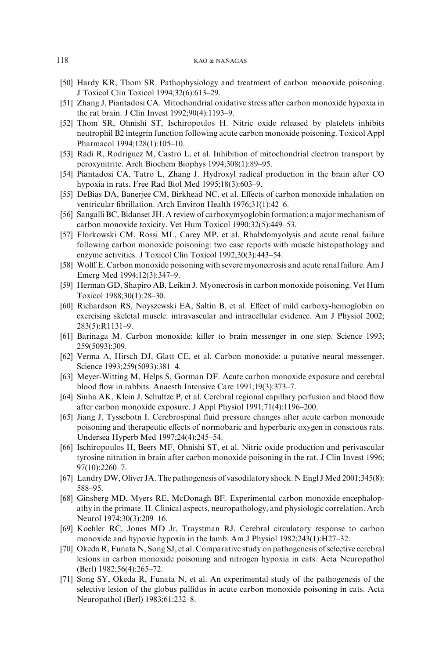- <span id="page-19-0"></span>[50] Hardy KR, Thom SR. Pathophysiology and treatment of carbon monoxide poisoning. J Toxicol Clin Toxicol 1994;32(6):613–29.
- [51] Zhang J, Piantadosi CA. Mitochondrial oxidative stress after carbon monoxide hypoxia in the rat brain. J Clin Invest 1992;90(4):1193–9.
- [52] Thom SR, Ohnishi ST, Ischiropoulos H. Nitric oxide released by platelets inhibits neutrophil B2 integrin function following acute carbon monoxide poisoning. Toxicol Appl Pharmacol 1994;128(1):105–10.
- [53] Radi R, Rodriguez M, Castro L, et al. Inhibition of mitochondrial electron transport by peroxynitrite. Arch Biochem Biophys 1994;308(1):89–95.
- [54] Piantadosi CA, Tatro L, Zhang J. Hydroxyl radical production in the brain after CO hypoxia in rats. Free Rad Biol Med 1995;18(3):603–9.
- [55] DeBias DA, Banerjee CM, Birkhead NC, et al. Effects of carbon monoxide inhalation on ventricular fibrillation. Arch Environ Health 1976;31(1):42–6.
- [56] Sangalli BC, Bidanset JH. A review of carboxymyoglobin formation: a major mechanism of carbon monoxide toxicity. Vet Hum Toxicol 1990;32(5):449–53.
- [57] Florkowski CM, Rossi ML, Carey MP, et al. Rhabdomyolysis and acute renal failure following carbon monoxide poisoning: two case reports with muscle histopathology and enzyme activities. J Toxicol Clin Toxicol 1992;30(3):443–54.
- [58] Wolff E. Carbon monoxide poisoning with severe myonecrosis and acute renal failure. Am J Emerg Med 1994;12(3):347–9.
- [59] Herman GD, Shapiro AB, Leikin J. Myonecrosis in carbon monoxide poisoning. Vet Hum Toxicol 1988;30(1):28–30.
- [60] Richardson RS, Noyszewski EA, Saltin B, et al. Effect of mild carboxy-hemoglobin on exercising skeletal muscle: intravascular and intracellular evidence. Am J Physiol 2002; 283(5):R1131–9.
- [61] Barinaga M. Carbon monoxide: killer to brain messenger in one step. Science 1993; 259(5093):309.
- [62] Verma A, Hirsch DJ, Glatt CE, et al. Carbon monoxide: a putative neural messenger. Science 1993;259(5093):381–4.
- [63] Meyer-Witting M, Helps S, Gorman DF. Acute carbon monoxide exposure and cerebral blood flow in rabbits. Anaesth Intensive Care 1991;19(3):373–7.
- [64] Sinha AK, Klein J, Schultze P, et al. Cerebral regional capillary perfusion and blood flow after carbon monoxide exposure. J Appl Physiol 1991;71(4):1196–200.
- [65] Jiang J, Tyssebotn I. Cerebrospinal fluid pressure changes after acute carbon monoxide poisoning and therapeutic effects of normobaric and hyperbaric oxygen in conscious rats. Undersea Hyperb Med 1997;24(4):245–54.
- [66] Ischiropoulos H, Beers MF, Ohnishi ST, et al. Nitric oxide production and perivascular tyrosine nitration in brain after carbon monoxide poisoning in the rat. J Clin Invest 1996; 97(10):2260–7.
- [67] Landry DW, Oliver JA. The pathogenesis of vasodilatory shock. N Engl J Med 2001;345(8): 588–95.
- [68] Ginsberg MD, Myers RE, McDonagh BF. Experimental carbon monoxide encephalopathy in the primate. II. Clinical aspects, neuropathology, and physiologic correlation. Arch Neurol 1974;30(3):209–16.
- [69] Koehler RC, Jones MD Jr, Traystman RJ. Cerebral circulatory response to carbon monoxide and hypoxic hypoxia in the lamb. Am J Physiol 1982;243(1):H27–32.
- [70] Okeda R, Funata N, Song SJ, et al. Comparative study on pathogenesis of selective cerebral lesions in carbon monoxide poisoning and nitrogen hypoxia in cats. Acta Neuropathol (Berl) 1982;56(4):265–72.
- [71] Song SY, Okeda R, Funata N, et al. An experimental study of the pathogenesis of the selective lesion of the globus pallidus in acute carbon monoxide poisoning in cats. Acta Neuropathol (Berl) 1983;61:232–8.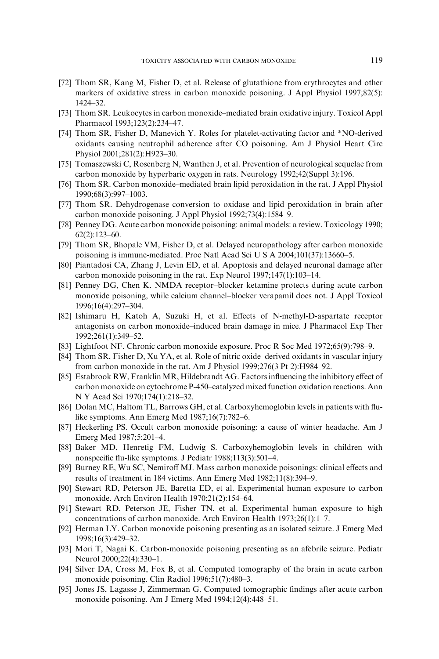- <span id="page-20-0"></span>[72] Thom SR, Kang M, Fisher D, et al. Release of glutathione from erythrocytes and other markers of oxidative stress in carbon monoxide poisoning. J Appl Physiol 1997;82(5): 1424–32.
- [73] Thom SR. Leukocytes in carbon monoxide–mediated brain oxidative injury. Toxicol Appl Pharmacol 1993;123(2):234–47.
- [74] Thom SR, Fisher D, Manevich Y. Roles for platelet-activating factor and \*NO-derived oxidants causing neutrophil adherence after CO poisoning. Am J Physiol Heart Circ Physiol 2001;281(2):H923–30.
- [75] Tomaszewski C, Rosenberg N, Wanthen J, et al. Prevention of neurological sequelae from carbon monoxide by hyperbaric oxygen in rats. Neurology 1992;42(Suppl 3):196.
- [76] Thom SR. Carbon monoxide–mediated brain lipid peroxidation in the rat. J Appl Physiol 1990;68(3):997–1003.
- [77] Thom SR. Dehydrogenase conversion to oxidase and lipid peroxidation in brain after carbon monoxide poisoning. J Appl Physiol 1992;73(4):1584–9.
- [78] Penney DG. Acute carbon monoxide poisoning: animal models: a review. Toxicology 1990; 62(2):123–60.
- [79] Thom SR, Bhopale VM, Fisher D, et al. Delayed neuropathology after carbon monoxide poisoning is immune-mediated. Proc Natl Acad Sci U S A 2004;101(37):13660–5.
- [80] Piantadosi CA, Zhang J, Levin ED, et al. Apoptosis and delayed neuronal damage after carbon monoxide poisoning in the rat. Exp Neurol 1997;147(1):103–14.
- [81] Penney DG, Chen K. NMDA receptor–blocker ketamine protects during acute carbon monoxide poisoning, while calcium channel–blocker verapamil does not. J Appl Toxicol 1996;16(4):297–304.
- [82] Ishimaru H, Katoh A, Suzuki H, et al. Effects of N-methyl-D-aspartate receptor antagonists on carbon monoxide–induced brain damage in mice. J Pharmacol Exp Ther 1992;261(1):349–52.
- [83] Lightfoot NF. Chronic carbon monoxide exposure. Proc R Soc Med 1972;65(9):798–9.
- [84] Thom SR, Fisher D, Xu YA, et al. Role of nitric oxide–derived oxidants in vascular injury from carbon monoxide in the rat. Am J Physiol 1999;276(3 Pt 2):H984–92.
- [85] Estabrook RW, Franklin MR, Hildebrandt AG. Factors influencing the inhibitory effect of carbon monoxide on cytochrome P-450–catalyzed mixed function oxidation reactions. Ann N Y Acad Sci 1970;174(1):218–32.
- [86] Dolan MC, Haltom TL, Barrows GH, et al. Carboxyhemoglobin levels in patients with flulike symptoms. Ann Emerg Med 1987;16(7):782–6.
- [87] Heckerling PS. Occult carbon monoxide poisoning: a cause of winter headache. Am J Emerg Med 1987;5:201–4.
- [88] Baker MD, Henretig FM, Ludwig S. Carboxyhemoglobin levels in children with nonspecific flu-like symptoms. J Pediatr 1988;113(3):501–4.
- [89] Burney RE, Wu SC, Nemiroff MJ. Mass carbon monoxide poisonings: clinical effects and results of treatment in 184 victims. Ann Emerg Med 1982;11(8):394–9.
- [90] Stewart RD, Peterson JE, Baretta ED, et al. Experimental human exposure to carbon monoxide. Arch Environ Health 1970;21(2):154–64.
- [91] Stewart RD, Peterson JE, Fisher TN, et al. Experimental human exposure to high concentrations of carbon monoxide. Arch Environ Health 1973;26(1):1–7.
- [92] Herman LY. Carbon monoxide poisoning presenting as an isolated seizure. J Emerg Med 1998;16(3):429–32.
- [93] Mori T, Nagai K. Carbon-monoxide poisoning presenting as an afebrile seizure. Pediatr Neurol 2000;22(4):330–1.
- [94] Silver DA, Cross M, Fox B, et al. Computed tomography of the brain in acute carbon monoxide poisoning. Clin Radiol 1996;51(7):480–3.
- [95] Jones JS, Lagasse J, Zimmerman G. Computed tomographic findings after acute carbon monoxide poisoning. Am J Emerg Med 1994;12(4):448–51.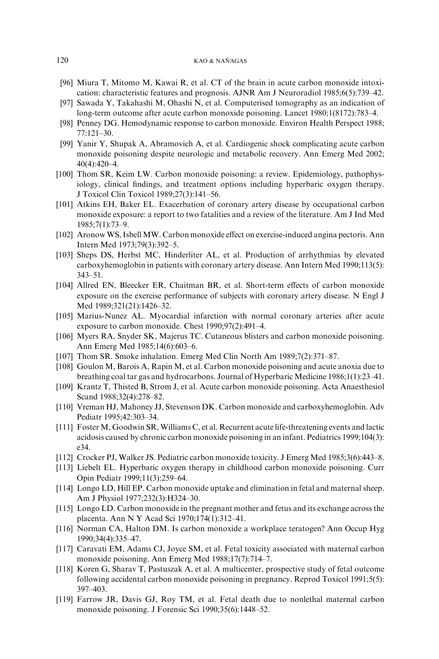- <span id="page-21-0"></span>[96] Miura T, Mitomo M, Kawai R, et al. CT of the brain in acute carbon monoxide intoxication: characteristic features and prognosis. AJNR Am J Neuroradiol 1985;6(5):739–42.
- [97] Sawada Y, Takahashi M, Ohashi N, et al. Computerised tomography as an indication of long-term outcome after acute carbon monoxide poisoning. Lancet 1980;1(8172):783–4.
- [98] Penney DG. Hemodynamic response to carbon monoxide. Environ Health Perspect 1988; 77:121–30.
- [99] Yanir Y, Shupak A, Abramovich A, et al. Cardiogenic shock complicating acute carbon monoxide poisoning despite neurologic and metabolic recovery. Ann Emerg Med 2002; 40(4):420–4.
- [100] Thom SR, Keim LW. Carbon monoxide poisoning: a review. Epidemiology, pathophysiology, clinical findings, and treatment options including hyperbaric oxygen therapy. J Toxicol Clin Toxicol 1989;27(3):141–56.
- [101] Atkins EH, Baker EL. Exacerbation of coronary artery disease by occupational carbon monoxide exposure: a report to two fatalities and a review of the literature. Am J Ind Med 1985;7(1):73–9.
- [102] Aronow WS, Isbell MW. Carbon monoxide effect on exercise-induced angina pectoris. Ann Intern Med 1973;79(3):392–5.
- [103] Sheps DS, Herbst MC, Hinderliter AL, et al. Production of arrhythmias by elevated carboxyhemoglobin in patients with coronary artery disease. Ann Intern Med 1990;113(5): 343–51.
- [104] Allred EN, Bleecker ER, Chaitman BR, et al. Short-term effects of carbon monoxide exposure on the exercise performance of subjects with coronary artery disease. N Engl J Med 1989;321(21):1426–32.
- [105] Marius-Nunez AL. Myocardial infarction with normal coronary arteries after acute exposure to carbon monoxide. Chest 1990;97(2):491–4.
- [106] Myers RA, Snyder SK, Majerus TC. Cutaneous blisters and carbon monoxide poisoning. Ann Emerg Med 1985;14(6):603–6.
- [107] Thom SR. Smoke inhalation. Emerg Med Clin North Am 1989;7(2):371–87.
- [108] Goulon M, Barois A, Rapin M, et al. Carbon monoxide poisoning and acute anoxia due to breathing coal tar gas and hydrocarbons. Journal of Hyperbaric Medicine 1986;1(1):23–41.
- [109] Krantz T, Thisted B, Strom J, et al. Acute carbon monoxide poisoning. Acta Anaesthesiol Scand 1988;32(4):278–82.
- [110] Vreman HJ, Mahoney JJ, Stevenson DK. Carbon monoxide and carboxyhemoglobin. Adv Pediatr 1995;42:303–34.
- [111] Foster M, Goodwin SR, Williams C, et al. Recurrent acute life-threatening events and lactic acidosis caused by chronic carbon monoxide poisoning in an infant. Pediatrics 1999;104(3): e34.
- [112] Crocker PJ, Walker JS. Pediatric carbon monoxide toxicity. J Emerg Med 1985;3(6):443–8.
- [113] Liebelt EL. Hyperbaric oxygen therapy in childhood carbon monoxide poisoning. Curr Opin Pediatr 1999;11(3):259–64.
- [114] Longo LD, Hill EP. Carbon monoxide uptake and elimination in fetal and maternal sheep. Am J Physiol 1977;232(3):H324–30.
- [115] Longo LD. Carbon monoxide in the pregnant mother and fetus and its exchange across the placenta. Ann N Y Acad Sci 1970;174(1):312–41.
- [116] Norman CA, Halton DM. Is carbon monoxide a workplace teratogen? Ann Occup Hyg 1990;34(4):335–47.
- [117] Caravati EM, Adams CJ, Joyce SM, et al. Fetal toxicity associated with maternal carbon monoxide poisoning. Ann Emerg Med 1988;17(7):714–7.
- [118] Koren G, Sharav T, Pastuszak A, et al. A multicenter, prospective study of fetal outcome following accidental carbon monoxide poisoning in pregnancy. Reprod Toxicol 1991;5(5): 397–403.
- [119] Farrow JR, Davis GJ, Roy TM, et al. Fetal death due to nonlethal maternal carbon monoxide poisoning. J Forensic Sci 1990;35(6):1448–52.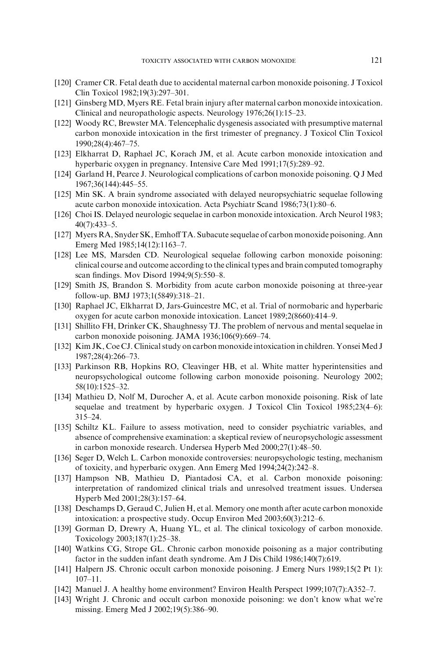- <span id="page-22-0"></span>[120] Cramer CR. Fetal death due to accidental maternal carbon monoxide poisoning. J Toxicol Clin Toxicol 1982;19(3):297–301.
- [121] Ginsberg MD, Myers RE. Fetal brain injury after maternal carbon monoxide intoxication. Clinical and neuropathologic aspects. Neurology 1976;26(1):15–23.
- [122] Woody RC, Brewster MA. Telencephalic dysgenesis associated with presumptive maternal carbon monoxide intoxication in the first trimester of pregnancy. J Toxicol Clin Toxicol 1990;28(4):467–75.
- [123] Elkharrat D, Raphael JC, Korach JM, et al. Acute carbon monoxide intoxication and hyperbaric oxygen in pregnancy. Intensive Care Med 1991;17(5):289–92.
- [124] Garland H, Pearce J. Neurological complications of carbon monoxide poisoning. Q J Med 1967;36(144):445–55.
- [125] Min SK. A brain syndrome associated with delayed neuropsychiatric sequelae following acute carbon monoxide intoxication. Acta Psychiatr Scand 1986;73(1):80–6.
- [126] Choi IS. Delayed neurologic sequelae in carbon monoxide intoxication. Arch Neurol 1983; 40(7):433–5.
- [127] Myers RA, Snyder SK, Emhoff TA. Subacute sequelae of carbon monoxide poisoning. Ann Emerg Med 1985;14(12):1163–7.
- [128] Lee MS, Marsden CD. Neurological sequelae following carbon monoxide poisoning: clinical course and outcome according to the clinical types and brain computed tomography scan findings. Mov Disord 1994;9(5):550–8.
- [129] Smith JS, Brandon S. Morbidity from acute carbon monoxide poisoning at three-year follow-up. BMJ 1973;1(5849):318–21.
- [130] Raphael JC, Elkharrat D, Jars-Guincestre MC, et al. Trial of normobaric and hyperbaric oxygen for acute carbon monoxide intoxication. Lancet 1989;2(8660):414–9.
- [131] Shillito FH, Drinker CK, Shaughnessy TJ. The problem of nervous and mental sequelae in carbon monoxide poisoning. JAMA 1936;106(9):669–74.
- [132] Kim JK, Coe CJ. Clinical study on carbon monoxide intoxication in children. Yonsei Med J 1987;28(4):266–73.
- [133] Parkinson RB, Hopkins RO, Cleavinger HB, et al. White matter hyperintensities and neuropsychological outcome following carbon monoxide poisoning. Neurology 2002; 58(10):1525–32.
- [134] Mathieu D, Nolf M, Durocher A, et al. Acute carbon monoxide poisoning. Risk of late sequelae and treatment by hyperbaric oxygen. J Toxicol Clin Toxicol 1985;23(4–6): 315–24.
- [135] Schiltz KL. Failure to assess motivation, need to consider psychiatric variables, and absence of comprehensive examination: a skeptical review of neuropsychologic assessment in carbon monoxide research. Undersea Hyperb Med 2000;27(1):48–50.
- [136] Seger D, Welch L. Carbon monoxide controversies: neuropsychologic testing, mechanism of toxicity, and hyperbaric oxygen. Ann Emerg Med 1994;24(2):242–8.
- [137] Hampson NB, Mathieu D, Piantadosi CA, et al. Carbon monoxide poisoning: interpretation of randomized clinical trials and unresolved treatment issues. Undersea Hyperb Med 2001;28(3):157–64.
- [138] Deschamps D, Geraud C, Julien H, et al. Memory one month after acute carbon monoxide intoxication: a prospective study. Occup Environ Med 2003;60(3):212–6.
- [139] Gorman D, Drewry A, Huang YL, et al. The clinical toxicology of carbon monoxide. Toxicology 2003;187(1):25–38.
- [140] Watkins CG, Strope GL. Chronic carbon monoxide poisoning as a major contributing factor in the sudden infant death syndrome. Am J Dis Child 1986;140(7):619.
- [141] Halpern JS. Chronic occult carbon monoxide poisoning. J Emerg Nurs 1989;15(2 Pt 1): 107–11.
- [142] Manuel J. A healthy home environment? Environ Health Perspect 1999;107(7):A352–7.
- [143] Wright J. Chronic and occult carbon monoxide poisoning: we don't know what we're missing. Emerg Med J 2002;19(5):386–90.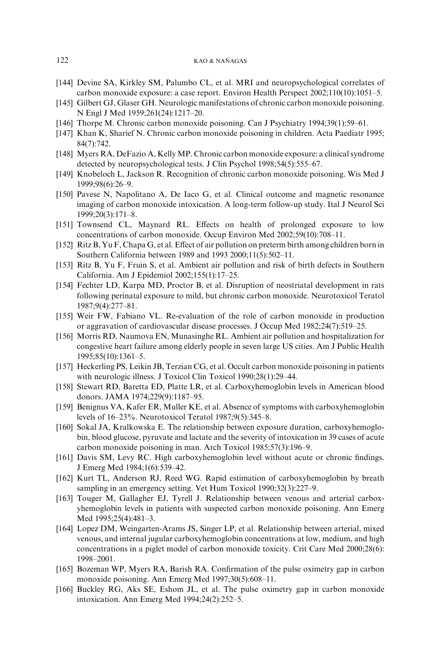- <span id="page-23-0"></span>[144] Devine SA, Kirkley SM, Palumbo CL, et al. MRI and neuropsychological correlates of carbon monoxide exposure: a case report. Environ Health Perspect 2002;110(10):1051–5.
- [145] Gilbert GJ, Glaser GH. Neurologic manifestations of chronic carbon monoxide poisoning. N Engl J Med 1959;261(24):1217–20.
- [146] Thorpe M. Chronic carbon monoxide poisoning. Can J Psychiatry 1994;39(1):59–61.
- [147] Khan K, Sharief N. Chronic carbon monoxide poisoning in children. Acta Paediatr 1995; 84(7):742.
- [148] Myers RA, DeFazio A, Kelly MP. Chronic carbon monoxide exposure: a clinical syndrome detected by neuropsychological tests. J Clin Psychol 1998;54(5):555–67.
- [149] Knobeloch L, Jackson R. Recognition of chronic carbon monoxide poisoning. Wis Med J 1999;98(6):26–9.
- [150] Pavese N, Napolitano A, De Iaco G, et al. Clinical outcome and magnetic resonance imaging of carbon monoxide intoxication. A long-term follow-up study. Ital J Neurol Sci 1999;20(3):171–8.
- [151] Townsend CL, Maynard RL. Effects on health of prolonged exposure to low concentrations of carbon monoxide. Occup Environ Med 2002;59(10):708–11.
- [152] Ritz B, Yu F, Chapa G, et al. Effect of air pollution on preterm birth among children born in Southern California between 1989 and 1993 2000;11(5):502–11.
- [153] Ritz B, Yu F, Fruin S, et al. Ambient air pollution and risk of birth defects in Southern California. Am J Epidemiol 2002;155(1):17–25.
- [154] Fechter LD, Karpa MD, Proctor B, et al. Disruption of neostriatal development in rats following perinatal exposure to mild, but chronic carbon monoxide. Neurotoxicol Teratol 1987;9(4):277–81.
- [155] Weir FW, Fabiano VL. Re-evaluation of the role of carbon monoxide in production or aggravation of cardiovascular disease processes. J Occup Med 1982;24(7):519–25.
- [156] Morris RD, Naumova EN, Munasinghe RL. Ambient air pollution and hospitalization for congestive heart failure among elderly people in seven large US cities. Am J Public Health 1995;85(10):1361–5.
- [157] Heckerling PS, Leikin JB, Terzian CG, et al. Occult carbon monoxide poisoning in patients with neurologic illness. J Toxicol Clin Toxicol 1990;28(1):29–44.
- [158] Stewart RD, Baretta ED, Platte LR, et al. Carboxyhemoglobin levels in American blood donors. JAMA 1974;229(9):1187–95.
- [159] Benignus VA, Kafer ER, Muller KE, et al. Absence of symptoms with carboxyhemoglobin levels of 16–23%. Neurotoxicol Teratol 1987;9(5):345–8.
- [160] Sokal JA, Kralkowska E. The relationship between exposure duration, carboxyhemoglobin, blood glucose, pyruvate and lactate and the severity of intoxication in 39 cases of acute carbon monoxide poisoning in man. Arch Toxicol 1985;57(3):196–9.
- [161] Davis SM, Levy RC. High carboxyhemoglobin level without acute or chronic findings. J Emerg Med 1984;1(6):539–42.
- [162] Kurt TL, Anderson RJ, Reed WG. Rapid estimation of carboxyhemoglobin by breath sampling in an emergency setting. Vet Hum Toxicol 1990;32(3):227–9.
- [163] Touger M, Gallagher EJ, Tyrell J. Relationship between venous and arterial carboxyhemoglobin levels in patients with suspected carbon monoxide poisoning. Ann Emerg Med 1995;25(4):481–3.
- [164] Lopez DM, Weingarten-Arams JS, Singer LP, et al. Relationship between arterial, mixed venous, and internal jugular carboxyhemoglobin concentrations at low, medium, and high concentrations in a piglet model of carbon monoxide toxicity. Crit Care Med 2000;28(6): 1998–2001.
- [165] Bozeman WP, Myers RA, Barish RA. Confirmation of the pulse oximetry gap in carbon monoxide poisoning. Ann Emerg Med 1997;30(5):608–11.
- [166] Buckley RG, Aks SE, Eshom JL, et al. The pulse oximetry gap in carbon monoxide intoxication. Ann Emerg Med 1994;24(2):252–5.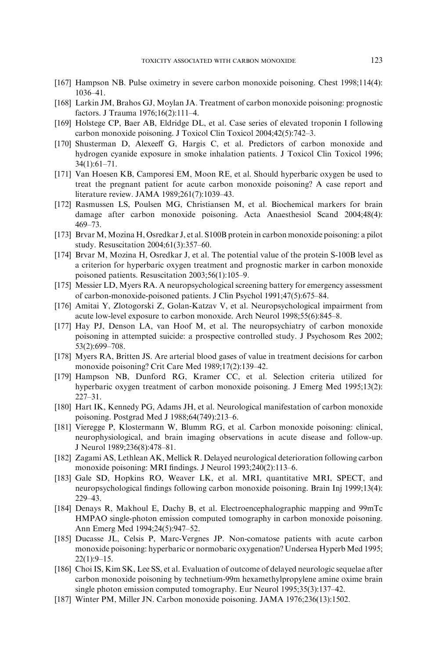- <span id="page-24-0"></span>[167] Hampson NB. Pulse oximetry in severe carbon monoxide poisoning. Chest 1998;114(4): 1036–41.
- [168] Larkin JM, Brahos GJ, Moylan JA. Treatment of carbon monoxide poisoning: prognostic factors. J Trauma 1976;16(2):111–4.
- [169] Holstege CP, Baer AB, Eldridge DL, et al. Case series of elevated troponin I following carbon monoxide poisoning. J Toxicol Clin Toxicol 2004;42(5):742–3.
- [170] Shusterman D, Alexeeff G, Hargis C, et al. Predictors of carbon monoxide and hydrogen cyanide exposure in smoke inhalation patients. J Toxicol Clin Toxicol 1996; 34(1):61–71.
- [171] Van Hoesen KB, Camporesi EM, Moon RE, et al. Should hyperbaric oxygen be used to treat the pregnant patient for acute carbon monoxide poisoning? A case report and literature review. JAMA 1989;261(7):1039–43.
- [172] Rasmussen LS, Poulsen MG, Christiansen M, et al. Biochemical markers for brain damage after carbon monoxide poisoning. Acta Anaesthesiol Scand 2004;48(4): 469–73.
- [173] Brvar M, Mozina H, Osredkar J, et al. S100B protein in carbon monoxide poisoning: a pilot study. Resuscitation 2004;61(3):357–60.
- [174] Brvar M, Mozina H, Osredkar J, et al. The potential value of the protein S-100B level as a criterion for hyperbaric oxygen treatment and prognostic marker in carbon monoxide poisoned patients. Resuscitation 2003;56(1):105–9.
- [175] Messier LD, Myers RA. A neuropsychological screening battery for emergency assessment of carbon-monoxide-poisoned patients. J Clin Psychol 1991;47(5):675–84.
- [176] Amitai Y, Zlotogorski Z, Golan-Katzav V, et al. Neuropsychological impairment from acute low-level exposure to carbon monoxide. Arch Neurol 1998;55(6):845–8.
- [177] Hay PJ, Denson LA, van Hoof M, et al. The neuropsychiatry of carbon monoxide poisoning in attempted suicide: a prospective controlled study. J Psychosom Res 2002; 53(2):699–708.
- [178] Myers RA, Britten JS. Are arterial blood gases of value in treatment decisions for carbon monoxide poisoning? Crit Care Med 1989;17(2):139–42.
- [179] Hampson NB, Dunford RG, Kramer CC, et al. Selection criteria utilized for hyperbaric oxygen treatment of carbon monoxide poisoning. J Emerg Med 1995;13(2): 227–31.
- [180] Hart IK, Kennedy PG, Adams JH, et al. Neurological manifestation of carbon monoxide poisoning. Postgrad Med J 1988;64(749):213–6.
- [181] Vieregge P, Klostermann W, Blumm RG, et al. Carbon monoxide poisoning: clinical, neurophysiological, and brain imaging observations in acute disease and follow-up. J Neurol 1989;236(8):478–81.
- [182] Zagami AS, Lethlean AK, Mellick R. Delayed neurological deterioration following carbon monoxide poisoning: MRI findings. J Neurol 1993;240(2):113–6.
- [183] Gale SD, Hopkins RO, Weaver LK, et al. MRI, quantitative MRI, SPECT, and neuropsychological findings following carbon monoxide poisoning. Brain Inj 1999;13(4): 229–43.
- [184] Denays R, Makhoul E, Dachy B, et al. Electroencephalographic mapping and 99mTc HMPAO single-photon emission computed tomography in carbon monoxide poisoning. Ann Emerg Med 1994;24(5):947–52.
- [185] Ducasse JL, Celsis P, Marc-Vergnes JP. Non-comatose patients with acute carbon monoxide poisoning: hyperbaric or normobaric oxygenation? Undersea Hyperb Med 1995; 22(1):9–15.
- [186] Choi IS, Kim SK, Lee SS, et al. Evaluation of outcome of delayed neurologic sequelae after carbon monoxide poisoning by technetium-99m hexamethylpropylene amine oxime brain single photon emission computed tomography. Eur Neurol 1995;35(3):137–42.
- [187] Winter PM, Miller JN. Carbon monoxide poisoning. JAMA 1976;236(13):1502.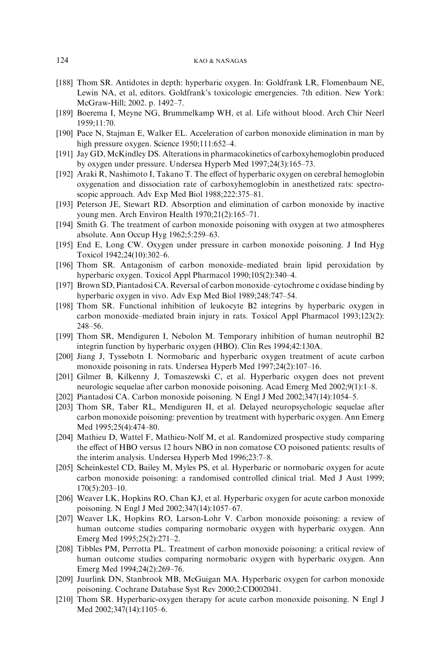- <span id="page-25-0"></span>[188] Thom SR. Antidotes in depth: hyperbaric oxygen. In: Goldfrank LR, Flomenbaum NE, Lewin NA, et al, editors. Goldfrank's toxicologic emergencies. 7th edition. New York: McGraw-Hill; 2002. p. 1492–7.
- [189] Boerema I, Meyne NG, Brummelkamp WH, et al. Life without blood. Arch Chir Neerl 1959;11:70.
- [190] Pace N, Stajman E, Walker EL. Acceleration of carbon monoxide elimination in man by high pressure oxygen. Science 1950;111:652-4.
- [191] Jay GD, McKindley DS. Alterations in pharmacokinetics of carboxyhemoglobin produced by oxygen under pressure. Undersea Hyperb Med 1997;24(3):165–73.
- [192] Araki R, Nashimoto I, Takano T. The effect of hyperbaric oxygen on cerebral hemoglobin oxygenation and dissociation rate of carboxyhemoglobin in anesthetized rats: spectroscopic approach. Adv Exp Med Biol 1988;222:375–81.
- [193] Peterson JE, Stewart RD. Absorption and elimination of carbon monoxide by inactive young men. Arch Environ Health 1970;21(2):165–71.
- [194] Smith G. The treatment of carbon monoxide poisoning with oxygen at two atmospheres absolute. Ann Occup Hyg 1962;5:259–63.
- [195] End E, Long CW. Oxygen under pressure in carbon monoxide poisoning. J Ind Hyg Toxicol 1942;24(10):302–6.
- [196] Thom SR. Antagonism of carbon monoxide–mediated brain lipid peroxidation by hyperbaric oxygen. Toxicol Appl Pharmacol 1990;105(2):340–4.
- [197] Brown SD, Piantadosi CA. Reversal of carbon monoxide–cytochrome c oxidase binding by hyperbaric oxygen in vivo. Adv Exp Med Biol 1989;248:747–54.
- [198] Thom SR. Functional inhibition of leukocyte B2 integrins by hyperbaric oxygen in carbon monoxide–mediated brain injury in rats. Toxicol Appl Pharmacol 1993;123(2): 248–56.
- [199] Thom SR, Mendiguren I, Nebolon M. Temporary inhibition of human neutrophil B2 integrin function by hyperbaric oxygen (HBO). Clin Res 1994;42:130A.
- [200] Jiang J, Tyssebotn I. Normobaric and hyperbaric oxygen treatment of acute carbon monoxide poisoning in rats. Undersea Hyperb Med 1997;24(2):107–16.
- [201] Gilmer B, Kilkenny J, Tomaszewski C, et al. Hyperbaric oxygen does not prevent neurologic sequelae after carbon monoxide poisoning. Acad Emerg Med 2002;9(1):1–8.
- [202] Piantadosi CA. Carbon monoxide poisoning. N Engl J Med 2002;347(14):1054–5.
- [203] Thom SR, Taber RL, Mendiguren II, et al. Delayed neuropsychologic sequelae after carbon monoxide poisoning: prevention by treatment with hyperbaric oxygen. Ann Emerg Med 1995;25(4):474–80.
- [204] Mathieu D, Wattel F, Mathieu-Nolf M, et al. Randomized prospective study comparing the effect of HBO versus 12 hours NBO in non comatose CO poisoned patients: results of the interim analysis. Undersea Hyperb Med 1996;23:7–8.
- [205] Scheinkestel CD, Bailey M, Myles PS, et al. Hyperbaric or normobaric oxygen for acute carbon monoxide poisoning: a randomised controlled clinical trial. Med J Aust 1999; 170(5):203–10.
- [206] Weaver LK, Hopkins RO, Chan KJ, et al. Hyperbaric oxygen for acute carbon monoxide poisoning. N Engl J Med 2002;347(14):1057–67.
- [207] Weaver LK, Hopkins RO, Larson-Lohr V. Carbon monoxide poisoning: a review of human outcome studies comparing normobaric oxygen with hyperbaric oxygen. Ann Emerg Med 1995;25(2):271–2.
- [208] Tibbles PM, Perrotta PL. Treatment of carbon monoxide poisoning: a critical review of human outcome studies comparing normobaric oxygen with hyperbaric oxygen. Ann Emerg Med 1994;24(2):269–76.
- [209] Juurlink DN, Stanbrook MB, McGuigan MA. Hyperbaric oxygen for carbon monoxide poisoning. Cochrane Database Syst Rev 2000;2:CD002041.
- [210] Thom SR. Hyperbaric-oxygen therapy for acute carbon monoxide poisoning. N Engl J Med 2002;347(14):1105–6.